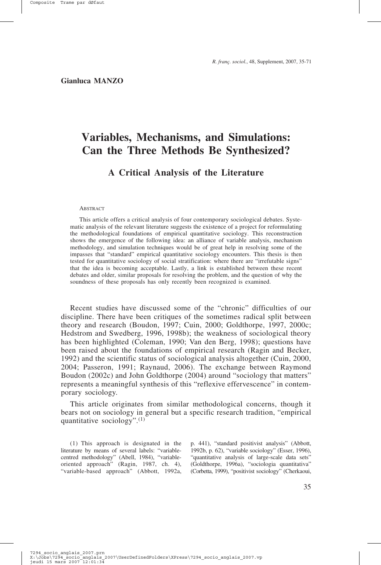**Gianluca MANZO**

# **Variables, Mechanisms, and Simulations: Can the Three Methods Be Synthesized?**

## **A Critical Analysis of the Literature**

#### ABSTRACT

This article offers a critical analysis of four contemporary sociological debates. Systematic analysis of the relevant literature suggests the existence of a project for reformulating the methodological foundations of empirical quantitative sociology. This reconstruction shows the emergence of the following idea: an alliance of variable analysis, mechanism methodology, and simulation techniques would be of great help in resolving some of the impasses that "standard" empirical quantitative sociology encounters. This thesis is then tested for quantitative sociology of social stratification: where there are "irrefutable signs" that the idea is becoming acceptable. Lastly, a link is established between these recent debates and older, similar proposals for resolving the problem, and the question of why the soundness of these proposals has only recently been recognized is examined.

Recent studies have discussed some of the "chronic" difficulties of our discipline. There have been critiques of the sometimes radical split between theory and research (Boudon, 1997; Cuin, 2000; Goldthorpe, 1997, 2000c; Hedstrom and Swedberg, 1996, 1998b); the weakness of sociological theory has been highlighted (Coleman, 1990; Van den Berg, 1998); questions have been raised about the foundations of empirical research (Ragin and Becker, 1992) and the scientific status of sociological analysis altogether (Cuin, 2000, 2004; Passeron, 1991; Raynaud, 2006). The exchange between Raymond Boudon (2002c) and John Goldthorpe (2004) around "sociology that matters" represents a meaningful synthesis of this "reflexive effervescence" in contemporary sociology.

This article originates from similar methodological concerns, though it bears not on sociology in general but a specific research tradition, "empirical quantitative sociology".(1)

(1) This approach is designated in the literature by means of several labels: "variablecentred methodology" (Abell, 1984), "variableoriented approach" (Ragin, 1987, ch. 4), "variable-based approach" (Abbott, 1992a,

p. 441), "standard positivist analysis" (Abbott, 1992b, p. 62), "variable sociology" (Esser, 1996), "quantitative analysis of large-scale data sets" (Goldthorpe, 1996a), "sociologia quantitativa" (Corbetta, 1999), "positivist sociology" (Cherkaoui,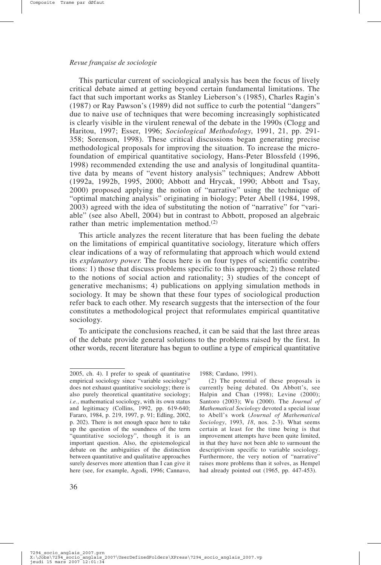This particular current of sociological analysis has been the focus of lively critical debate aimed at getting beyond certain fundamental limitations. The fact that such important works as Stanley Lieberson's (1985), Charles Ragin's (1987) or Ray Pawson's (1989) did not suffice to curb the potential "dangers" due to naive use of techniques that were becoming increasingly sophisticated is clearly visible in the virulent renewal of the debate in the 1990s (Clogg and Haritou, 1997; Esser, 1996; *Sociological Methodology*, 1991, 21, pp. 291- 358; Sorenson, 1998). These critical discussions began generating precise methodological proposals for improving the situation. To increase the microfoundation of empirical quantitative sociology, Hans-Peter Blossfeld (1996, 1998) recommended extending the use and analysis of longitudinal quantitative data by means of "event history analysis" techniques; Andrew Abbott (1992a, 1992b, 1995, 2000; Abbott and Hrycak, 1990; Abbott and Tsay, 2000) proposed applying the notion of "narrative" using the technique of "optimal matching analysis" originating in biology; Peter Abell (1984, 1998, 2003) agreed with the idea of substituting the notion of "narrative" for "variable" (see also Abell, 2004) but in contrast to Abbott, proposed an algebraic rather than metric implementation method. $(2)$ 

This article analyzes the recent literature that has been fueling the debate on the limitations of empirical quantitative sociology, literature which offers clear indications of a way of reformulating that approach which would extend its *explanatory power*. The focus here is on four types of scientific contributions: 1) those that discuss problems specific to this approach; 2) those related to the notions of social action and rationality; 3) studies of the concept of generative mechanisms; 4) publications on applying simulation methods in sociology. It may be shown that these four types of sociological production refer back to each other. My research suggests that the intersection of the four constitutes a methodological project that reformulates empirical quantitative sociology.

To anticipate the conclusions reached, it can be said that the last three areas of the debate provide general solutions to the problems raised by the first. In other words, recent literature has begun to outline a type of empirical quantitative

1988; Cardano, 1991).

(2) The potential of these proposals is currently being debated. On Abbott's, see Halpin and Chan (1998); Levine (2000); Santoro (2003); Wu (2000). The *Journal of Mathematical Sociology* devoted a special issue to Abell's work (*Journal of Mathematical Sociology*, 1993, *18*, nos. 2-3). What seems certain at least for the time being is that improvement attempts have been quite limited, in that they have not been able to surmount the descriptivism specific to variable sociology. Furthermore, the very notion of "narrative" raises more problems than it solves, as Hempel had already pointed out (1965, pp. 447-453).

<sup>2005,</sup> ch. 4). I prefer to speak of quantitative empirical sociology since "variable sociology" does not exhaust quantitative sociology; there is also purely theoretical quantitative sociology; *i.e.*, mathematical sociology, with its own status and legitimacy (Collins, 1992, pp. 619-640; Fararo, 1984, p. 219, 1997, p. 91; Edling, 2002, p. 202). There is not enough space here to take up the question of the soundness of the term "quantitative sociology", though it is an important question. Also, the epistemological debate on the ambiguities of the distinction between quantitative and qualitative approaches surely deserves more attention than I can give it here (see, for example, Agodi, 1996; Cannavo,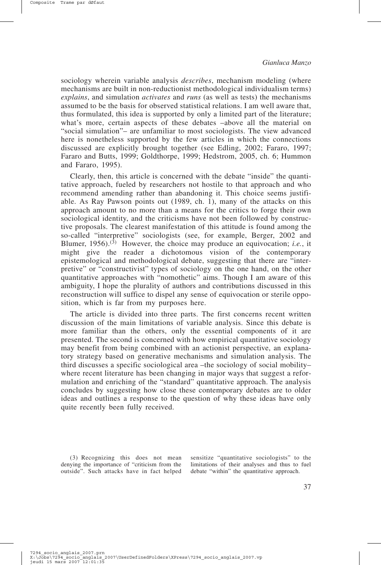sociology wherein variable analysis *describes*, mechanism modeling (where mechanisms are built in non-reductionist methodological individualism terms) *explains*, and simulation *activates* and *runs* (as well as tests) the mechanisms assumed to be the basis for observed statistical relations. I am well aware that, thus formulated, this idea is supported by only a limited part of the literature; what's more, certain aspects of these debates –above all the material on "social simulation"– are unfamiliar to most sociologists. The view advanced here is nonetheless supported by the few articles in which the connections discussed are explicitly brought together (see Edling, 2002; Fararo, 1997; Fararo and Butts, 1999; Goldthorpe, 1999; Hedstrom, 2005, ch. 6; Hummon and Fararo, 1995).

Clearly, then, this article is concerned with the debate "inside" the quantitative approach, fueled by researchers not hostile to that approach and who recommend amending rather than abandoning it. This choice seems justifiable. As Ray Pawson points out (1989, ch. 1), many of the attacks on this approach amount to no more than a means for the critics to forge their own sociological identity, and the criticisms have not been followed by constructive proposals. The clearest manifestation of this attitude is found among the so-called "interpretive" sociologists (see, for example, Berger, 2002 and Blumer, 1956).(3) However, the choice may produce an equivocation; *i.e.*, it might give the reader a dichotomous vision of the contemporary epistemological and methodological debate, suggesting that there are "interpretive" or "constructivist" types of sociology on the one hand, on the other quantitative approaches with "nomothetic" aims. Though I am aware of this ambiguity, I hope the plurality of authors and contributions discussed in this reconstruction will suffice to dispel any sense of equivocation or sterile opposition, which is far from my purposes here.

The article is divided into three parts. The first concerns recent written discussion of the main limitations of variable analysis. Since this debate is more familiar than the others, only the essential components of it are presented. The second is concerned with how empirical quantitative sociology may benefit from being combined with an actionist perspective, an explanatory strategy based on generative mechanisms and simulation analysis. The third discusses a specific sociological area –the sociology of social mobility– where recent literature has been changing in major ways that suggest a reformulation and enriching of the "standard" quantitative approach. The analysis concludes by suggesting how close these contemporary debates are to older ideas and outlines a response to the question of why these ideas have only quite recently been fully received.

(3) Recognizing this does not mean denying the importance of "criticism from the limitations of their analyses and thus to fuel outside". Such attacks have in fact helped debate "within" the quantitative approach.

sensitize "quantitative sociologists" to the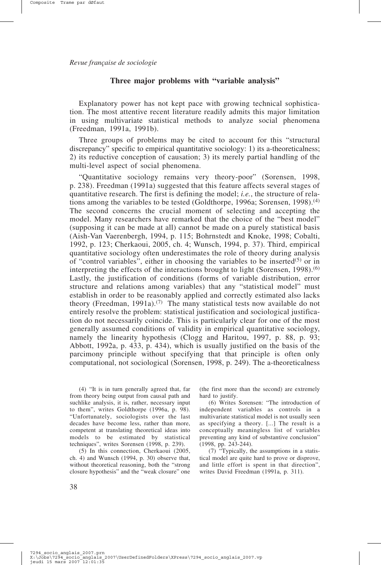#### **Three major problems with "variable analysis"**

Explanatory power has not kept pace with growing technical sophistication. The most attentive recent literature readily admits this major limitation in using multivariate statistical methods to analyze social phenomena (Freedman, 1991a, 1991b).

Three groups of problems may be cited to account for this "structural discrepancy" specific to empirical quantitative sociology: 1) its a-theoreticalness; 2) its reductive conception of causation; 3) its merely partial handling of the multi-level aspect of social phenomena.

"Quantitative sociology remains very theory-poor" (Sorensen, 1998, p. 238). Freedman (1991a) suggested that this feature affects several stages of quantitative research. The first is defining the model; *i.e.*, the structure of relations among the variables to be tested (Goldthorpe, 1996a; Sorensen, 1998).<sup>(4)</sup> The second concerns the crucial moment of selecting and accepting the model. Many researchers have remarked that the choice of the "best model" (supposing it can be made at all) cannot be made on a purely statistical basis (Aish-Van Vaerenbergh, 1994, p. 115; Bohrnstedt and Knoke, 1998; Cobalti, 1992, p. 123; Cherkaoui, 2005, ch. 4; Wunsch, 1994, p. 37). Third, empirical quantitative sociology often underestimates the role of theory during analysis of "control variables", either in choosing the variables to be inserted<sup>(5)</sup> or in interpreting the effects of the interactions brought to light (Sorensen, 1998).<sup>(6)</sup> Lastly, the justification of conditions (forms of variable distribution, error structure and relations among variables) that any "statistical model" must establish in order to be reasonably applied and correctly estimated also lacks theory (Freedman, 1991a).<sup>(7)</sup> The many statistical tests now available do not entirely resolve the problem: statistical justification and sociological justification do not necessarily coincide. This is particularly clear for one of the most generally assumed conditions of validity in empirical quantitative sociology, namely the linearity hypothesis (Clogg and Haritou, 1997, p. 88, p. 93; Abbott, 1992a, p. 433, p. 434), which is usually justified on the basis of the parcimony principle without specifying that that principle is often only computational, not sociological (Sorensen, 1998, p. 249). The a-theoreticalness

(4) "It is in turn generally agreed that, far from theory being output from causal path and suchlike analysis, it is, rather, necessary input to them", writes Goldthorpe (1996a, p. 98). "Unfortunately, sociologists over the last decades have become less, rather than more, competent at translating theoretical ideas into models to be estimated by statistical techniques", writes Sorensen (1998, p. 239).

(5) In this connection, Cherkaoui (2005, ch. 4) and Wunsch (1994, p. 30) observe that, without theoretical reasoning, both the "strong closure hypothesis" and the "weak closure" one

(the first more than the second) are extremely hard to justify.

(6) Writes Sorensen: "The introduction of independent variables as controls in a multivariate statistical model is not usually seen as specifying a theory. [...] The result is a conceptually meaningless list of variables preventing any kind of substantive conclusion" (1998, pp. 243-244).

(7) "Typically, the assumptions in a statistical model are quite hard to prove or disprove, and little effort is spent in that direction", writes David Freedman (1991a, p. 311).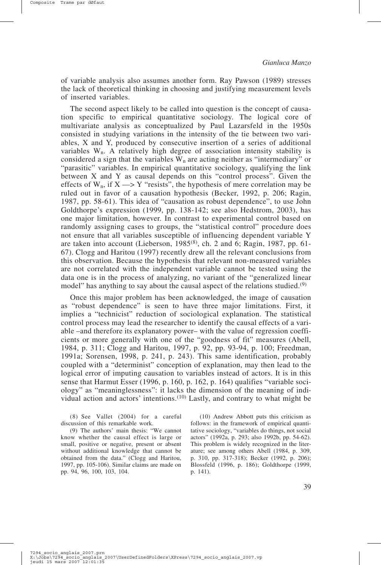of variable analysis also assumes another form. Ray Pawson (1989) stresses the lack of theoretical thinking in choosing and justifying measurement levels of inserted variables.

The second aspect likely to be called into question is the concept of causation specific to empirical quantitative sociology. The logical core of multivariate analysis as conceptualized by Paul Lazarsfeld in the 1950s consisted in studying variations in the intensity of the tie between two variables, X and Y, produced by consecutive insertion of a series of additional variables Wn. A relatively high degree of association intensity stability is considered a sign that the variables  $W_n$  are acting neither as "intermediary" or "parasitic" variables. In empirical quantitative sociology, qualifying the link between X and Y as causal depends on this "control process". Given the effects of  $W_n$ , if  $X \rightarrow Y$  "resists", the hypothesis of mere correlation may be ruled out in favor of a causation hypothesis (Becker, 1992, p. 206; Ragin, 1987, pp. 58-61). This idea of "causation as robust dependence", to use John Goldthorpe's expression (1999, pp. 138-142; see also Hedstrom, 2003), has one major limitation, however. In contrast to experimental control based on randomly assigning cases to groups, the "statistical control" procedure does not ensure that all variables susceptible of influencing dependent variable Y are taken into account (Lieberson, 1985(8), ch. 2 and 6; Ragin, 1987, pp. 61- 67). Clogg and Haritou (1997) recently drew all the relevant conclusions from this observation. Because the hypothesis that relevant non-measured variables are not correlated with the independent variable cannot be tested using the data one is in the process of analyzing, no variant of the "generalized linear model" has anything to say about the causal aspect of the relations studied.<sup>(9)</sup>

Once this major problem has been acknowledged, the image of causation as "robust dependence" is seen to have three major limitations. First, it implies a "technicist" reduction of sociological explanation. The statistical control process may lead the researcher to identify the causal effects of a variable –and therefore its explanatory power– with the value of regression coefficients or more generally with one of the "goodness of fit" measures (Abell, 1984, p. 311; Clogg and Haritou, 1997, p. 92, pp. 93-94, p. 100; Freedman, 1991a; Sorensen, 1998, p. 241, p. 243). This same identification, probably coupled with a "determinist" conception of explanation, may then lead to the logical error of imputing causation to variables instead of actors. It is in this sense that Harmut Esser (1996, p. 160, p. 162, p. 164) qualifies "variable sociology" as "meaninglessness": it lacks the dimension of the meaning of individual action and actors' intentions.<sup> $(10)$ </sup> Lastly, and contrary to what might be

(8) See Vallet (2004) for a careful discussion of this remarkable work.

(9) The authors' main thesis: "We cannot know whether the causal effect is large or small, positive or negative, present or absent without additional knowledge that cannot be obtained from the data." (Clogg and Haritou, 1997, pp. 105-106). Similar claims are made on pp. 94, 96, 100, 103, 104.

(10) Andrew Abbott puts this criticism as follows: in the framework of empirical quantitative sociology, "variables do things, not social actors" (1992a, p. 293; also 1992b, pp. 54-62). This problem is widely recognized in the literature; see among others Abell (1984, p. 309, p. 310, pp. 317-318); Becker (1992, p. 206); Blossfeld (1996, p. 186); Goldthorpe (1999, p. 141).

7294 socio anglais\_2007.prn<br>X:\Jobs\7294\_socio\_anglais\_2007\UserDefinedFolders\XPress\7294\_socio\_anglais\_2007.vp<br>jeudi 15 mars 2007\_12:01:35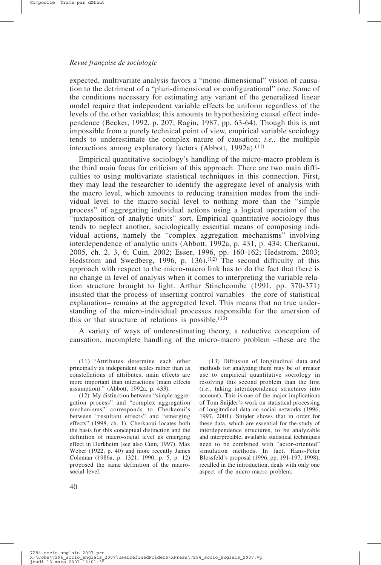expected, multivariate analysis favors a "mono-dimensional" vision of causation to the detriment of a "pluri-dimensional or configurational" one. Some of the conditions necessary for estimating any variant of the generalized linear model require that independent variable effects be uniform regardless of the levels of the other variables; this amounts to hypothesizing causal effect independence (Becker, 1992, p. 207; Ragin, 1987, pp. 63-64). Though this is not impossible from a purely technical point of view, empirical variable sociology tends to underestimate the complex nature of causation; *i.e.,* the multiple interactions among explanatory factors (Abbott, 1992a).<sup>(11)</sup>

Empirical quantitative sociology's handling of the micro-macro problem is the third main focus for criticism of this approach. There are two main difficulties to using multivariate statistical techniques in this connection. First, they may lead the researcher to identify the aggregate level of analysis with the macro level, which amounts to reducing transition modes from the individual level to the macro-social level to nothing more than the "simple process" of aggregating individual actions using a logical operation of the "juxtaposition of analytic units" sort. Empirical quantitative sociology thus tends to neglect another, sociologically essential means of composing individual actions, namely the "complex aggregation mechanisms" involving interdependence of analytic units (Abbott, 1992a, p. 431, p. 434; Cherkaoui, 2005, ch. 2, 3, 6; Cuin, 2002; Esser, 1996, pp. 160-162; Hedstrom, 2003; Hedstrom and Swedberg, 1996, p.  $136$ .<sup>(12)</sup> The second difficulty of this approach with respect to the micro-macro link has to do the fact that there is no change in level of analysis when it comes to interpreting the variable relation structure brought to light. Arthur Stinchcombe (1991, pp. 370-371) insisted that the process of inserting control variables –the core of statistical explanation– remains at the aggregated level. This means that no true understanding of the micro-individual processes responsible for the emersion of this or that structure of relations is possible.<sup>(13)</sup>

A variety of ways of underestimating theory, a reductive conception of causation, incomplete handling of the micro-macro problem –these are the

(13) Diffusion of longitudinal data and methods for analyzing them may be of greater use to empirical quantitative sociology in resolving this second problem than the first (*i.e.*, taking interdependence structures into account). This is one of the major implications of Tom Snijder's work on statistical processing of longitudinal data on social networks (1996, 1997, 2001). Snijder shows that in order for these data, which are essential for the study of interdependence structures, to be analyzable and interpretable, available statistical techniques need to be combined with "actor-oriented" simulation methods. In fact, Hans-Peter Blossfeld's proposal (1996, pp. 191-197, 1998), recalled in the introduction, deals with only one aspect of the micro-macro problem.

40

<sup>(11) &</sup>quot;Attributes determine each other principally as independent scales rather than as constellations of attributes; main effects are more important than interactions (main effects assumption)." (Abbott, 1992a, p. 433).

<sup>(12)</sup> My distinction between "simple aggregation process" and "complex aggregation mechanisms" corresponds to Cherkaoui's between "resultant effects" and "emerging effects" (1998, ch. 1). Cherkaoui locates both the basis for this conceptual distinction and the definition of macro-social level as emerging effect in Durkheim (see also Cuin, 1997). Max Weber (1922, p. 40) and more recently James Coleman (1986a, p. 1321, 1990, p. 5, p. 12) proposed the same definition of the macrosocial level.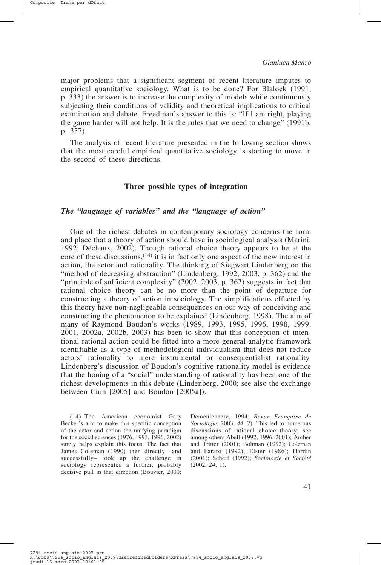major problems that a significant segment of recent literature imputes to empirical quantitative sociology. What is to be done? For Blalock (1991, p. 333) the answer is to increase the complexity of models while continuously subjecting their conditions of validity and theoretical implications to critical examination and debate. Freedman's answer to this is: "If I am right, playing the game harder will not help. It is the rules that we need to change" (1991b, p. 357).

The analysis of recent literature presented in the following section shows that the most careful empirical quantitative sociology is starting to move in the second of these directions.

#### **Three possible types of integration**

## *The "language of variables" and the "language of action"*

One of the richest debates in contemporary sociology concerns the form and place that a theory of action should have in sociological analysis (Marini, 1992; Déchaux, 2002). Though rational choice theory appears to be at the core of these discussions,  $(14)$  it is in fact only one aspect of the new interest in action, the actor and rationality. The thinking of Siegwart Lindenberg on the "method of decreasing abstraction" (Lindenberg, 1992, 2003, p. 362) and the "principle of sufficient complexity" (2002, 2003, p. 362) suggests in fact that rational choice theory can be no more than the point of departure for constructing a theory of action in sociology. The simplifications effected by this theory have non-negligeable consequences on our way of conceiving and constructing the phenomenon to be explained (Lindenberg, 1998). The aim of many of Raymond Boudon's works (1989, 1993, 1995, 1996, 1998, 1999, 2001, 2002a, 2002b, 2003) has been to show that this conception of intentional rational action could be fitted into a more general analytic framework identifiable as a type of methodological individualism that does not reduce actors' rationality to mere instrumental or consequentialist rationality. Lindenberg's discussion of Boudon's cognitive rationality model is evidence that the honing of a "social" understanding of rationality has been one of the richest developments in this debate (Lindenberg, 2000; see also the exchange between Cuin [2005] and Boudon [2005a]).

(14) The American economist Gary Becker's aim to make this specific conception of the actor and action the unifying paradigm for the social sciences (1976, 1993, 1996, 2002) surely helps explain this focus. The fact that James Coleman (1990) then directly –and successfully– took up the challenge in sociology represented a further, probably decisive pull in that direction (Bouvier, 2000;

Demeulenaere, 1994; *Revue Française de Sociologie*, 2003, *44*, 2). This led to numerous discussions of rational choice theory; see among others Abell (1992, 1996, 2001); Archer and Tritter (2001); Bohman (1992); Coleman and Fararo (1992); Elster (1986); Hardin (2001); Scheff (1992); *Sociologie et Société* (2002, *24*, 1).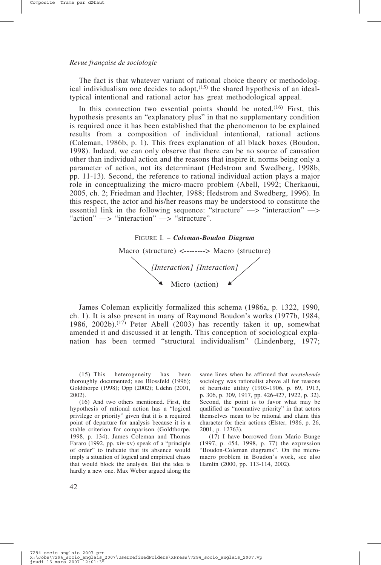The fact is that whatever variant of rational choice theory or methodological individualism one decides to adopt, $(15)$  the shared hypothesis of an idealtypical intentional and rational actor has great methodological appeal.

In this connection two essential points should be noted.<sup>(16)</sup> First, this hypothesis presents an "explanatory plus" in that no supplementary condition is required once it has been established that the phenomenon to be explained results from a composition of individual intentional, rational actions (Coleman, 1986b, p. 1). This frees explanation of all black boxes (Boudon, 1998). Indeed, we can only observe that there can be no source of causation other than individual action and the reasons that inspire it, norms being only a parameter of action, not its determinant (Hedstrom and Swedberg, 1998b, pp. 11-13). Second, the reference to rational individual action plays a major role in conceptualizing the micro-macro problem (Abell, 1992; Cherkaoui, 2005, ch. 2; Friedman and Hechter, 1988; Hedstrom and Swedberg, 1996). In this respect, the actor and his/her reasons may be understood to constitute the essential link in the following sequence: "structure" —> "interaction" —> "action"  $\Longrightarrow$  "interaction"  $\Longrightarrow$  "structure".



James Coleman explicitly formalized this schema (1986a, p. 1322, 1990, ch. 1). It is also present in many of Raymond Boudon's works (1977b, 1984, 1986, 2002b).(17) Peter Abell (2003) has recently taken it up, somewhat amended it and discussed it at length. This conception of sociological explanation has been termed "structural individualism" (Lindenberg, 1977;

(16) And two others mentioned. First, the hypothesis of rational action has a "logical privilege or priority" given that it is a required point of departure for analysis because it is a stable criterion for comparison (Goldthorpe, 1998, p. 134). James Coleman and Thomas Fararo (1992, pp. xiv-xv) speak of a "principle of order" to indicate that its absence would imply a situation of logical and empirical chaos that would block the analysis. But the idea is hardly a new one. Max Weber argued along the same lines when he affirmed that *verstehende* sociology was rationalist above all for reasons of heuristic utility (1903-1906, p. 69, 1913, p. 306, p. 309, 1917, pp. 426-427, 1922, p. 32). Second, the point is to favor what may be qualified as "normative priority" in that actors themselves mean to be rational and claim this character for their actions (Elster, 1986, p. 26, 2001, p. 12763).

(17) I have borrowed from Mario Bunge (1997, p. 454, 1998, p. 77) the expression "Boudon-Coleman diagrams". On the micromacro problem in Boudon's work, see also Hamlin (2000, pp. 113-114, 2002).

<sup>(15)</sup> This heterogeneity has been thoroughly documented; see Blossfeld (1996); Goldthorpe (1998); Opp (2002); Udehn (2001, 2002).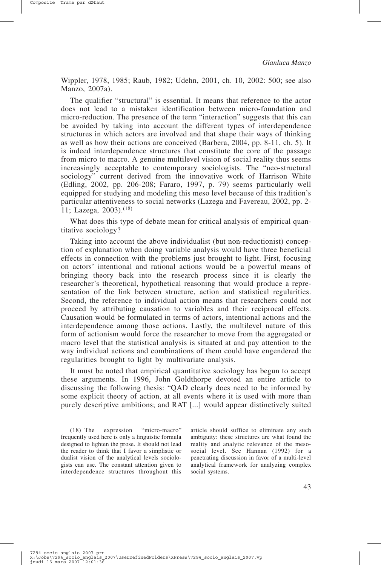Wippler, 1978, 1985; Raub, 1982; Udehn, 2001, ch. 10, 2002: 500; see also Manzo, 2007a).

The qualifier "structural" is essential. It means that reference to the actor does not lead to a mistaken identification between micro-foundation and micro-reduction. The presence of the term "interaction" suggests that this can be avoided by taking into account the different types of interdependence structures in which actors are involved and that shape their ways of thinking as well as how their actions are conceived (Barbera, 2004, pp. 8-11, ch. 5). It is indeed interdependence structures that constitute the core of the passage from micro to macro. A genuine multilevel vision of social reality thus seems increasingly acceptable to contemporary sociologists. The "neo-structural sociology" current derived from the innovative work of Harrison White (Edling, 2002, pp. 206-208; Fararo, 1997, p. 79) seems particularly well equipped for studying and modeling this meso level because of this tradition's particular attentiveness to social networks (Lazega and Favereau, 2002, pp. 2- 11; Lazega, 2003).(18)

What does this type of debate mean for critical analysis of empirical quantitative sociology?

Taking into account the above individualist (but non-reductionist) conception of explanation when doing variable analysis would have three beneficial effects in connection with the problems just brought to light. First, focusing on actors' intentional and rational actions would be a powerful means of bringing theory back into the research process since it is clearly the researcher's theoretical, hypothetical reasoning that would produce a representation of the link between structure, action and statistical regularities. Second, the reference to individual action means that researchers could not proceed by attributing causation to variables and their reciprocal effects. Causation would be formulated in terms of actors, intentional actions and the interdependence among those actions. Lastly, the multilevel nature of this form of actionism would force the researcher to move from the aggregated or macro level that the statistical analysis is situated at and pay attention to the way individual actions and combinations of them could have engendered the regularities brought to light by multivariate analysis.

It must be noted that empirical quantitative sociology has begun to accept these arguments. In 1996, John Goldthorpe devoted an entire article to discussing the following thesis: "QAD clearly does need to be informed by some explicit theory of action, at all events where it is used with more than purely descriptive ambitions; and RAT [...] would appear distinctively suited

(18) The expression "micro-macro" frequently used here is only a linguistic formula designed to lighten the prose. It should not lead the reader to think that I favor a simplistic or dualist vision of the analytical levels sociologists can use. The constant attention given to interdependence structures throughout this

article should suffice to eliminate any such ambiguity: these structures are what found the reality and analytic relevance of the mesosocial level. See Hannan (1992) for a penetrating discussion in favor of a multi-level analytical framework for analyzing complex social systems.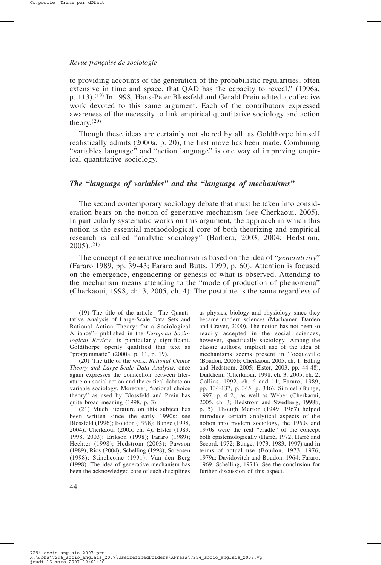to providing accounts of the generation of the probabilistic regularities, often extensive in time and space, that QAD has the capacity to reveal." (1996a, p. 113).(19) In 1998, Hans-Peter Blossfeld and Gerald Prein edited a collective work devoted to this same argument. Each of the contributors expressed awareness of the necessity to link empirical quantitative sociology and action theory. $(20)$ 

Though these ideas are certainly not shared by all, as Goldthorpe himself realistically admits (2000a, p. 20), the first move has been made. Combining "variables language" and "action language" is one way of improving empirical quantitative sociology.

## *The "language of variables" and the "language of mechanisms"*

The second contemporary sociology debate that must be taken into consideration bears on the notion of generative mechanism (see Cherkaoui, 2005). In particularly systematic works on this argument, the approach in which this notion is the essential methodological core of both theorizing and empirical research is called "analytic sociology" (Barbera, 2003, 2004; Hedstrom,  $2005$ ).<sup>(21)</sup>

The concept of generative mechanism is based on the idea of "*generativity*" (Fararo 1989, pp. 39-43; Fararo and Butts, 1999, p. 60). Attention is focused on the emergence, engendering or genesis of what is observed. Attending to the mechanism means attending to the "mode of production of phenomena" (Cherkaoui, 1998, ch. 3, 2005, ch. 4). The postulate is the same regardless of

(19) The title of the article –The Quantitative Analysis of Large-Scale Data Sets and Rational Action Theory: for a Sociological Alliance"– published in the *European Sociological Review*, is particularly significant. Goldthorpe openly qualified this text as "programmatic" (2000a, p. 11, p. 19).

(20) The title of the work, *Rational Choice Theory and Large-Scale Data Analysis*, once again expresses the connection between literature on social action and the critical debate on variable sociology. Moreover, "rational choice theory" as used by Blossfeld and Prein has quite broad meaning (1998, p. 3).

(21) Much literature on this subject has been written since the early 1990s: see Blossfeld (1996); Boudon (1998); Bunge (1998, 2004); Cherkaoui (2005, ch. 4); Elster (1989, 1998, 2003); Erikson (1998); Fararo (1989); Hechter (1998); Hedstrom (2003); Pawson (1989); Rios (2004); Schelling (1998); Sorensen (1998); Stinchcome (1991); Van den Berg (1998). The idea of generative mechanism has been the acknowledged core of such disciplines

as physics, biology and physiology since they became modern sciences (Machamer, Darden and Craver, 2000). The notion has not been so readily accepted in the social sciences, however, specifically sociology. Among the classic authors, implicit use of the idea of mechanisms seems present in Tocqueville (Boudon, 2005b; Cherkaoui, 2005, ch. 1; Edling and Hedstrom, 2005; Elster, 2003, pp. 44-48), Durkheim (Cherkaoui, 1998, ch. 3, 2005, ch. 2; Collins, 1992, ch. 6 and 11; Fararo, 1989, pp. 134-137, p. 345, p. 346), Simmel (Bunge, 1997, p. 412), as well as Weber (Cherkaoui, 2005, ch. 3; Hedstrom and Swedberg, 1998b, p. 5). Though Merton (1949, 1967) helped introduce certain analytical aspects of the notion into modern sociology, the 1960s and 1970s were the real "cradle" of the concept both epistemologically (Harré, 1972; Harré and Secord, 1972; Bunge, 1973, 1983, 1997) and in terms of actual use (Boudon, 1973, 1976, 1979a; Davidovitch and Boudon, 1964; Fararo, 1969, Schelling, 1971). See the conclusion for further discussion of this aspect.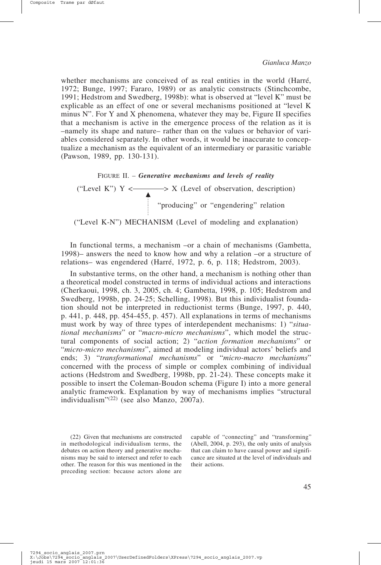whether mechanisms are conceived of as real entities in the world (Harré, 1972; Bunge, 1997; Fararo, 1989) or as analytic constructs (Stinchcombe, 1991; Hedstrom and Swedberg, 1998b): what is observed at "level K" must be explicable as an effect of one or several mechanisms positioned at "level K minus N". For Y and X phenomena, whatever they may be, Figure II specifies that a mechanism is active in the emergence process of the relation as it is –namely its shape and nature– rather than on the values or behavior of variables considered separately. In other words, it would be inaccurate to conceptualize a mechanism as the equivalent of an intermediary or parasitic variable (Pawson, 1989, pp. 130-131).

FIGURE II. – *Generative mechanisms and levels of reality* ("Level K")  $Y \leftarrow \longrightarrow X$  (Level of observation, description) "producing" or "engendering" relation ("Level K-N") MECHANISM (Level of modeling and explanation)

In functional terms, a mechanism –or a chain of mechanisms (Gambetta, 1998)– answers the need to know how and why a relation –or a structure of relations– was engendered (Harré, 1972, p. 6, p. 118; Hedstrom, 2003).

In substantive terms, on the other hand, a mechanism is nothing other than a theoretical model constructed in terms of individual actions and interactions (Cherkaoui, 1998, ch. 3, 2005, ch. 4; Gambetta, 1998, p. 105; Hedstrom and Swedberg, 1998b, pp. 24-25; Schelling, 1998). But this individualist foundation should not be interpreted in reductionist terms (Bunge, 1997, p. 440, p. 441, p. 448, pp. 454-455, p. 457). All explanations in terms of mechanisms must work by way of three types of interdependent mechanisms: 1) "*situational mechanisms*" or "*macro-micro mechanisms*", which model the structural components of social action; 2) "*action formation mechanisms*" or "*micro-micro mechanisms*", aimed at modeling individual actors' beliefs and ends; 3) "*transformational mechanisms*" or "*micro-macro mechanisms*" concerned with the process of simple or complex combining of individual actions (Hedstrom and Swedberg, 1998b, pp. 21-24). These concepts make it possible to insert the Coleman-Boudon schema (Figure I) into a more general analytic framework. Explanation by way of mechanisms implies "structural individualism"(22) (see also Manzo, 2007a).

(22) Given that mechanisms are constructed in methodological individualism terms, the debates on action theory and generative mechanisms may be said to intersect and refer to each other. The reason for this was mentioned in the preceding section: because actors alone are

capable of "connecting" and "transforming" (Abell, 2004, p. 293), the only units of analysis that can claim to have causal power and significance are situated at the level of individuals and their actions.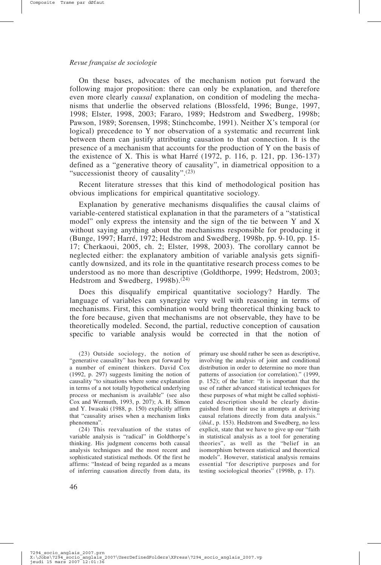On these bases, advocates of the mechanism notion put forward the following major proposition: there can only be explanation, and therefore even more clearly *causal* explanation, on condition of modeling the mechanisms that underlie the observed relations (Blossfeld, 1996; Bunge, 1997, 1998; Elster, 1998, 2003; Fararo, 1989; Hedstrom and Swedberg, 1998b; Pawson, 1989; Sorensen, 1998; Stinchcombe, 1991). Neither X's temporal (or logical) precedence to Y nor observation of a systematic and recurrent link between them can justify attributing causation to that connection. It is the presence of a mechanism that accounts for the production of Y on the basis of the existence of X. This is what Harré (1972, p. 116, p. 121, pp. 136-137) defined as a "generative theory of causality", in diametrical opposition to a "successionist theory of causality".(23)

Recent literature stresses that this kind of methodological position has obvious implications for empirical quantitative sociology.

Explanation by generative mechanisms disqualifies the causal claims of variable-centered statistical explanation in that the parameters of a "statistical model" only express the intensity and the sign of the tie between Y and X without saying anything about the mechanisms responsible for producing it (Bunge, 1997; Harré, 1972; Hedstrom and Swedberg, 1998b, pp. 9-10, pp. 15- 17; Cherkaoui, 2005, ch. 2; Elster, 1998, 2003). The corollary cannot be neglected either: the explanatory ambition of variable analysis gets significantly downsized, and its role in the quantitative research process comes to be understood as no more than descriptive (Goldthorpe, 1999; Hedstrom, 2003; Hedstrom and Swedberg, 1998b).<sup>(24)</sup>

Does this disqualify empirical quantitative sociology? Hardly. The language of variables can synergize very well with reasoning in terms of mechanisms. First, this combination would bring theoretical thinking back to the fore because, given that mechanisms are not observable, they have to be theoretically modeled. Second, the partial, reductive conception of causation specific to variable analysis would be corrected in that the notion of

(24) This reevaluation of the status of variable analysis is "radical" in Goldthorpe's thinking. His judgment concerns both causal analysis techniques and the most recent and sophisticated statistical methods. Of the first he affirms: "Instead of being regarded as a means of inferring causation directly from data, its

primary use should rather be seen as descriptive, involving the analysis of joint and conditional distribution in order to determine no more than patterns of association (or correlation)." (1999, p. 152); of the latter: "It is important that the use of rather advanced statistical techniques for these purposes of what might be called sophisticated description should be clearly distinguished from their use in attempts at deriving causal relations directly from data analysis." (*ibid*., p. 153). Hedstrom and Swedberg, no less explicit, state that we have to give up our "faith in statistical analysis as a tool for generating theories", as well as the "belief in an isomorphism between statistical and theoretical models". However, statistical analysis remains essential "for descriptive purposes and for testing sociological theories" (1998b, p. 17).

<sup>(23)</sup> Outside sociology, the notion of "generative causality" has been put forward by a number of eminent thinkers. David Cox (1992, p. 297) suggests limiting the notion of causality "to situations where some explanation in terms of a not totally hypothetical underlying process or mechanism is available" (see also Cox and Wermuth, 1993, p. 207); A. H. Simon and Y. Iwasaki (1988, p. 150) explicitly affirm that "causality arises when a mechanism links phenomena".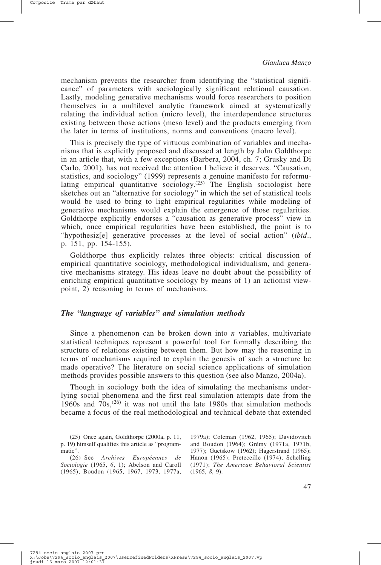mechanism prevents the researcher from identifying the "statistical significance" of parameters with sociologically significant relational causation. Lastly, modeling generative mechanisms would force researchers to position themselves in a multilevel analytic framework aimed at systematically relating the individual action (micro level), the interdependence structures existing between those actions (meso level) and the products emerging from the later in terms of institutions, norms and conventions (macro level).

This is precisely the type of virtuous combination of variables and mechanisms that is explicitly proposed and discussed at length by John Goldthorpe in an article that, with a few exceptions (Barbera, 2004, ch. 7; Grusky and Di Carlo, 2001), has not received the attention I believe it deserves. "Causation, statistics, and sociology" (1999) represents a genuine manifesto for reformulating empirical quantitative sociology.<sup>(25)</sup> The English sociologist here sketches out an "alternative for sociology" in which the set of statistical tools would be used to bring to light empirical regularities while modeling of generative mechanisms would explain the emergence of those regularities. Goldthorpe explicitly endorses a "causation as generative process" view in which, once empirical regularities have been established, the point is to "hypothesiz[e] generative processes at the level of social action" (*ibid*., p. 151, pp. 154-155).

Goldthorpe thus explicitly relates three objects: critical discussion of empirical quantitative sociology, methodological individualism, and generative mechanisms strategy. His ideas leave no doubt about the possibility of enriching empirical quantitative sociology by means of 1) an actionist viewpoint, 2) reasoning in terms of mechanisms.

### *The "language of variables" and simulation methods*

Since a phenomenon can be broken down into *n* variables, multivariate statistical techniques represent a powerful tool for formally describing the structure of relations existing between them. But how may the reasoning in terms of mechanisms required to explain the genesis of such a structure be made operative? The literature on social science applications of simulation methods provides possible answers to this question (see also Manzo, 2004a).

Though in sociology both the idea of simulating the mechanisms underlying social phenomena and the first real simulation attempts date from the 1960s and  $70s^{(26)}$  it was not until the late 1980s that simulation methods became a focus of the real methodological and technical debate that extended

(25) Once again, Goldthorpe (2000a, p. 11, p. 19) himself qualifies this article as "programmatic".

(26) See *Archives Européennes de Sociologie* (1965, *6*, 1); Abelson and Caroll (1965); Boudon (1965, 1967, 1973, 1977a,

1979a); Coleman (1962, 1965); Davidovitch and Boudon (1964); Grémy (1971a, 1971b, 1977); Guetskow (1962); Hagerstrand (1965); Hanon (1965); Preteceille (1974); Schelling (1971); *The American Behavioral Scientist* (1965, *8*, 9).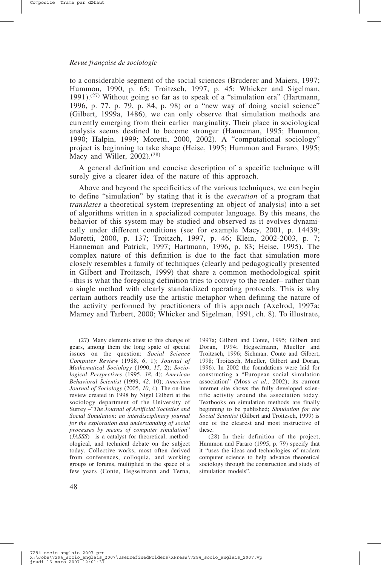to a considerable segment of the social sciences (Bruderer and Maiers, 1997; Hummon, 1990, p. 65; Troitzsch, 1997, p. 45; Whicker and Sigelman, 1991).<sup>(27)</sup> Without going so far as to speak of a "simulation era" (Hartmann, 1996, p. 77, p. 79, p. 84, p. 98) or a "new way of doing social science" (Gilbert, 1999a, 1486), we can only observe that simulation methods are currently emerging from their earlier marginality. Their place in sociological analysis seems destined to become stronger (Hanneman, 1995; Hummon, 1990; Halpin, 1999; Moretti, 2000, 2002). A "computational sociology" project is beginning to take shape (Heise, 1995; Hummon and Fararo, 1995; Macy and Willer,  $2002$ ).<sup>(28)</sup>

A general definition and concise description of a specific technique will surely give a clearer idea of the nature of this approach.

Above and beyond the specificities of the various techniques, we can begin to define "simulation" by stating that it is the *execution* of a program that *translates* a theoretical system (representing an object of analysis) into a set of algorithms written in a specialized computer language. By this means, the behavior of this system may be studied and observed as it evolves dynamically under different conditions (see for example Macy, 2001, p. 14439; Moretti, 2000, p. 137; Troitzch, 1997, p. 46; Klein, 2002-2003, p. 7; Hanneman and Patrick, 1997; Hartmann, 1996, p. 83; Heise, 1995). The complex nature of this definition is due to the fact that simulation more closely resembles a family of techniques (clearly and pedagogically presented in Gilbert and Troitzsch, 1999) that share a common methodological spirit –this is what the foregoing definition tries to convey to the reader– rather than a single method with clearly standardized operating protocols. This is why certain authors readily use the artistic metaphor when defining the nature of the activity performed by practitioners of this approach (Axelrod, 1997a; Marney and Tarbert, 2000; Whicker and Sigelman, 1991, ch. 8). To illustrate,

(27) Many elements attest to this change of gears, among them the long spate of special issues on the question: *Social Science Computer Review* (1988, *6*, 1); *Journal of Mathematical Sociology* (1990, *15*, 2); *Sociological Perspectives* (1995, *38*, 4); *American Behavioral Scientist* (1999, *42*, 10); *American Journal of Sociology* (2005, *10*, 4). The on-line review created in 1998 by Nigel Gilbert at the sociology department of the University of Surrey –"*The Journal of Artificial Societies and Social Simulation*: *an interdisciplinary journal for the exploration and understanding of social processes by means of computer simulation*" (*JASSS*)– is a catalyst for theoretical, methodological, and technical debate on the subject today. Collective works, most often derived from conferences, colloquia, and working groups or forums, multiplied in the space of a few years (Conte, Hegselmann and Terna,

1997a; Gilbert and Conte, 1995; Gilbert and Doran, 1994; Hegselmann, Mueller and Troitzsch, 1996; Sichman, Conte and Gilbert, 1998; Troitzsch, Mueller, Gilbert and Doran, 1996). In 2002 the foundations were laid for constructing a "European social simulation association" (Moss *et al.*, 2002); its current internet site shows the fully developed scientific activity around the association today. Textbooks on simulation methods are finally beginning to be published; *Simulation for the Social Scientist* (Gilbert and Troitzsch, 1999) is one of the clearest and most instructive of these.

(28) In their definition of the project, Hummon and Fararo (1995, p. 79) specify that it "uses the ideas and technologies of modern computer science to help advance theoretical sociology through the construction and study of simulation models".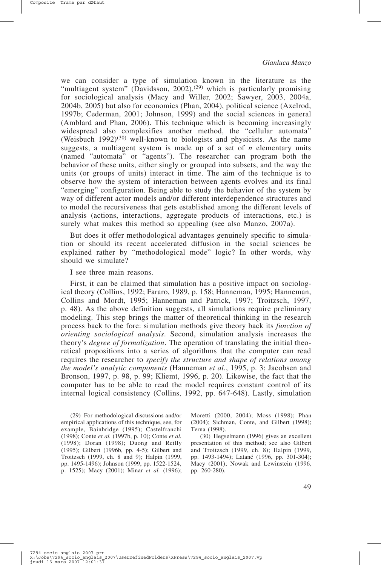we can consider a type of simulation known in the literature as the "multiagent system" (Davidsson, 2002),<sup>(29)</sup> which is particularly promising for sociological analysis (Macy and Willer, 2002; Sawyer, 2003, 2004a, 2004b, 2005) but also for economics (Phan, 2004), political science (Axelrod, 1997b; Cederman, 2001; Johnson, 1999) and the social sciences in general (Amblard and Phan, 2006). This technique which is becoming increasingly widespread also complexifies another method, the "cellular automata" (Weisbuch  $1992$ )<sup>(30)</sup> well-known to biologists and physicists. As the name suggests, a multiagent system is made up of a set of *n* elementary units (named "automata" or "agents"). The researcher can program both the behavior of these units, either singly or grouped into subsets, and the way the units (or groups of units) interact in time. The aim of the technique is to observe how the system of interaction between agents evolves and its final "emerging" configuration. Being able to study the behavior of the system by way of different actor models and/or different interdependence structures and to model the recursiveness that gets established among the different levels of analysis (actions, interactions, aggregate products of interactions, etc.) is surely what makes this method so appealing (see also Manzo, 2007a).

But does it offer methodological advantages genuinely specific to simulation or should its recent accelerated diffusion in the social sciences be explained rather by "methodological mode" logic? In other words, why should we simulate?

I see three main reasons.

First, it can be claimed that simulation has a positive impact on sociological theory (Collins, 1992; Fararo, 1989, p. 158; Hanneman, 1995; Hanneman, Collins and Mordt, 1995; Hanneman and Patrick, 1997; Troitzsch, 1997, p. 48). As the above definition suggests, all simulations require preliminary modeling. This step brings the matter of theoretical thinking in the research process back to the fore: simulation methods give theory back its *function of orienting sociological analysis*. Second, simulation analysis increases the theory's *degree of formalization*. The operation of translating the initial theoretical propositions into a series of algorithms that the computer can read requires the researcher to *specify the structure and shape of relations among the model's analytic components* (Hanneman *et al.*, 1995, p. 3; Jacobsen and Bronson, 1997, p. 98, p. 99; Kliemt, 1996, p. 20). Likewise, the fact that the computer has to be able to read the model requires constant control of its internal logical consistency (Collins, 1992, pp. 647-648). Lastly, simulation

(29) For methodological discussions and/or empirical applications of this technique, see, for example, Bainbridge (1995); Castelfranchi (1998); Conte *et al.* (1997b, p. 10); Conte *et al.* (1998); Doran (1998); Duong and Reilly (1995); Gilbert (1996b, pp. 4-5); Gilbert and Troitzsch (1999, ch. 8 and 9); Halpin (1999, pp. 1495-1496); Johnson (1999, pp. 1522-1524, p. 1525); Macy (2001); Minar *et al.* (1996);

Moretti (2000, 2004); Moss (1998); Phan (2004); Sichman, Conte, and Gilbert (1998); Terna (1998).

(30) Hegselmann (1996) gives an excellent presentation of this method; see also Gilbert and Troitzsch (1999, ch. 8); Halpin (1999, pp. 1493-1494); Latané (1996, pp. 301-304); Macy (2001); Nowak and Lewinstein (1996, pp. 260-280).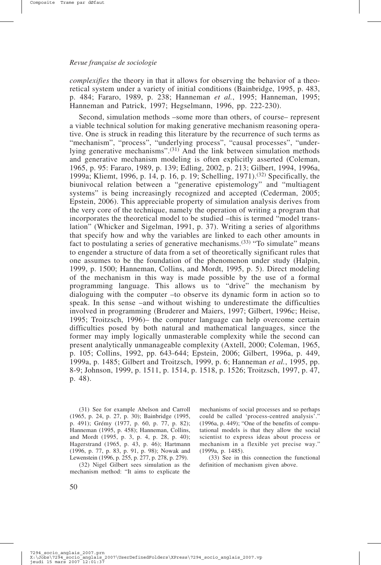*complexifies* the theory in that it allows for observing the behavior of a theoretical system under a variety of initial conditions (Bainbridge, 1995, p. 483, p. 484; Fararo, 1989, p. 238; Hanneman *et al.*, 1995; Hanneman, 1995; Hanneman and Patrick, 1997; Hegselmann, 1996, pp. 222-230).

Second, simulation methods –some more than others, of course– represent a viable technical solution for making generative mechanism reasoning operative. One is struck in reading this literature by the recurrence of such terms as "mechanism", "process", "underlying process", "causal processes", "underlying generative mechanisms".(31) And the link between simulation methods and generative mechanism modeling is often explicitly asserted (Coleman, 1965, p. 95: Fararo, 1989, p. 139; Edling, 2002, p. 213; Gilbert, 1994, 1996a, 1999a; Kliemt, 1996, p. 14, p. 16, p. 19; Schelling, 1971).(32) Specifically, the biunivocal relation between a "generative epistemology" and "multiagent systems" is being increasingly recognized and accepted (Cederman, 2005; Epstein, 2006). This appreciable property of simulation analysis derives from the very core of the technique, namely the operation of writing a program that incorporates the theoretical model to be studied –this is termed "model translation" (Whicker and Sigelman, 1991, p. 37). Writing a series of algorithms that specify how and why the variables are linked to each other amounts in fact to postulating a series of generative mechanisms.(33) "To simulate" means to engender a structure of data from a set of theoretically significant rules that one assumes to be the foundation of the phenomenon under study (Halpin, 1999, p. 1500; Hanneman, Collins, and Mordt, 1995, p. 5). Direct modeling of the mechanism in this way is made possible by the use of a formal programming language. This allows us to "drive" the mechanism by dialoguing with the computer –to observe its dynamic form in action so to speak. In this sense –and without wishing to underestimate the difficulties involved in programming (Bruderer and Maiers, 1997; Gilbert, 1996c; Heise, 1995; Troitzsch, 1996)– the computer language can help overcome certain difficulties posed by both natural and mathematical languages, since the former may imply logically unmasterable complexity while the second can present analytically unmanageable complexity (Axtell, 2000; Coleman, 1965, p. 105; Collins, 1992, pp. 643-644; Epstein, 2006; Gilbert, 1996a, p. 449, 1999a, p. 1485; Gilbert and Troitzsch, 1999, p. 6; Hanneman *et al.*, 1995, pp. 8-9; Johnson, 1999, p. 1511, p. 1514, p. 1518, p. 1526; Troitzsch, 1997, p. 47, p. 48).

(31) See for example Abelson and Carroll (1965, p. 24, p. 27, p. 30); Bainbridge (1995, p. 491); Grémy (1977, p. 60, p. 77, p. 82); Hanneman (1995, p. 458); Hanneman, Collins, and Mordt (1995, p. 3, p. 4, p. 28, p. 40); Hagerstrand (1965, p. 43, p. 46); Hartmann (1996, p. 77, p. 83, p. 91, p. 98); Nowak and Lewenstein (1996, p. 255, p. 277, p. 278, p. 279).

(32) Nigel Gilbert sees simulation as the mechanism method: "It aims to explicate the mechanisms of social processes and so perhaps could be called 'process-centred analysis'." (1996a, p. 449); "One of the benefits of computational models is that they allow the social scientist to express ideas about process or mechanism in a flexible yet precise way.' (1999a, p. 1485).

(33) See in this connection the functional definition of mechanism given above.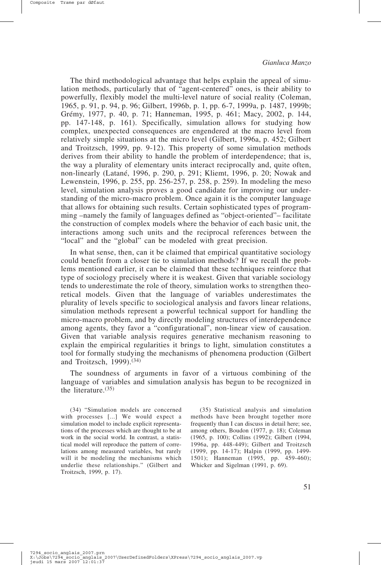Composite Trame par dØfaut

The third methodological advantage that helps explain the appeal of simulation methods, particularly that of "agent-centered" ones, is their ability to powerfully, flexibly model the multi-level nature of social reality (Coleman, 1965, p. 91, p. 94, p. 96; Gilbert, 1996b, p. 1, pp. 6-7, 1999a, p. 1487, 1999b; Grémy, 1977, p. 40, p. 71; Hanneman, 1995, p. 461; Macy, 2002, p. 144, pp. 147-148, p. 161). Specifically, simulation allows for studying how complex, unexpected consequences are engendered at the macro level from relatively simple situations at the micro level (Gilbert, 1996a, p. 452; Gilbert and Troitzsch, 1999, pp. 9-12). This property of some simulation methods derives from their ability to handle the problem of interdependence; that is, the way a plurality of elementary units interact reciprocally and, quite often, non-linearly (Latané, 1996, p. 290, p. 291; Kliemt, 1996, p. 20; Nowak and Lewenstein, 1996, p. 255, pp. 256-257, p. 258, p. 259). In modeling the meso level, simulation analysis proves a good candidate for improving our understanding of the micro-macro problem. Once again it is the computer language that allows for obtaining such results. Certain sophisticated types of programming –namely the family of languages defined as "object-oriented"– facilitate the construction of complex models where the behavior of each basic unit, the interactions among such units and the reciprocal references between the "local" and the "global" can be modeled with great precision.

In what sense, then, can it be claimed that empirical quantitative sociology could benefit from a closer tie to simulation methods? If we recall the problems mentioned earlier, it can be claimed that these techniques reinforce that type of sociology precisely where it is weakest. Given that variable sociology tends to underestimate the role of theory, simulation works to strengthen theoretical models. Given that the language of variables underestimates the plurality of levels specific to sociological analysis and favors linear relations, simulation methods represent a powerful technical support for handling the micro-macro problem, and by directly modeling structures of interdependence among agents, they favor a "configurational", non-linear view of causation. Given that variable analysis requires generative mechanism reasoning to explain the empirical regularities it brings to light, simulation constitutes a tool for formally studying the mechanisms of phenomena production (Gilbert and Troitzsch, 1999).(34)

The soundness of arguments in favor of a virtuous combining of the language of variables and simulation analysis has begun to be recognized in the literature.(35)

(34) "Simulation models are concerned with processes [...] We would expect a simulation model to include explicit representations of the processes which are thought to be at work in the social world. In contrast, a statistical model will reproduce the pattern of correlations among measured variables, but rarely will it be modeling the mechanisms which underlie these relationships." (Gilbert and Troitzsch, 1999, p. 17).

(35) Statistical analysis and simulation methods have been brought together more frequently than I can discuss in detail here; see, among others, Boudon (1977, p. 18); Coleman (1965, p. 100); Collins (1992); Gilbert (1994, 1996a, pp. 448-449); Gilbert and Troitzsch (1999, pp. 14-17); Halpin (1999, pp. 1499- 1501); Hanneman (1995, pp. 459-460); Whicker and Sigelman (1991, p. 69).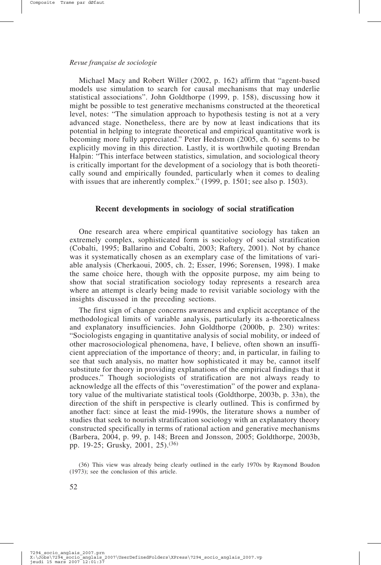Michael Macy and Robert Willer (2002, p. 162) affirm that "agent-based models use simulation to search for causal mechanisms that may underlie statistical associations". John Goldthorpe (1999, p. 158), discussing how it might be possible to test generative mechanisms constructed at the theoretical level, notes: "The simulation approach to hypothesis testing is not at a very advanced stage. Nonetheless, there are by now at least indications that its potential in helping to integrate theoretical and empirical quantitative work is becoming more fully appreciated." Peter Hedstrom (2005, ch. 6) seems to be explicitly moving in this direction. Lastly, it is worthwhile quoting Brendan Halpin: "This interface between statistics, simulation, and sociological theory is critically important for the development of a sociology that is both theoretically sound and empirically founded, particularly when it comes to dealing with issues that are inherently complex." (1999, p. 1501; see also p. 1503).

### **Recent developments in sociology of social stratification**

One research area where empirical quantitative sociology has taken an extremely complex, sophisticated form is sociology of social stratification (Cobalti, 1995; Ballarino and Cobalti, 2003; Raftery, 2001). Not by chance was it systematically chosen as an exemplary case of the limitations of variable analysis (Cherkaoui, 2005, ch. 2; Esser, 1996; Sorensen, 1998). I make the same choice here, though with the opposite purpose, my aim being to show that social stratification sociology today represents a research area where an attempt is clearly being made to revisit variable sociology with the insights discussed in the preceding sections.

The first sign of change concerns awareness and explicit acceptance of the methodological limits of variable analysis, particularly its a-theoreticalness and explanatory insufficiencies. John Goldthorpe (2000b, p. 230) writes: "Sociologists engaging in quantitative analysis of social mobility, or indeed of other macrosociological phenomena, have, I believe, often shown an insufficient appreciation of the importance of theory; and, in particular, in failing to see that such analysis, no matter how sophisticated it may be, cannot itself substitute for theory in providing explanations of the empirical findings that it produces." Though sociologists of stratification are not always ready to acknowledge all the effects of this "overestimation" of the power and explanatory value of the multivariate statistical tools (Goldthorpe, 2003b, p. 33n), the direction of the shift in perspective is clearly outlined. This is confirmed by another fact: since at least the mid-1990s, the literature shows a number of studies that seek to nourish stratification sociology with an explanatory theory constructed specifically in terms of rational action and generative mechanisms (Barbera, 2004, p. 99, p. 148; Breen and Jonsson, 2005; Goldthorpe, 2003b, pp. 19-25; Grusky, 2001, 25).(36)

(36) This view was already being clearly outlined in the early 1970s by Raymond Boudon (1973); see the conclusion of this article.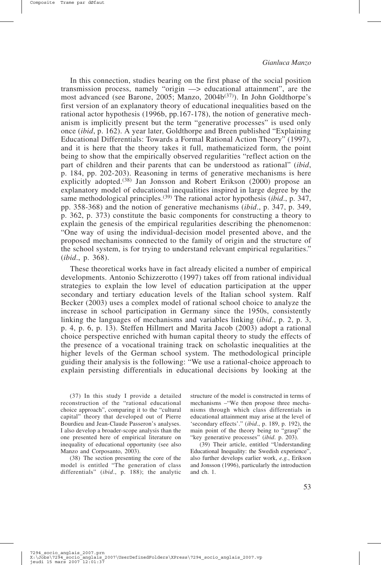Composite Trame par dØfaut

In this connection, studies bearing on the first phase of the social position transmission process, namely "origin —> educational attainment", are the most advanced (see Barone, 2005; Manzo, 2004b<sup>(37)</sup>). In John Goldthorpe's first version of an explanatory theory of educational inequalities based on the rational actor hypothesis (1996b, pp.167-178), the notion of generative mechanism is implicitly present but the term "generative processes" is used only once (*ibid*, p. 162). A year later, Goldthorpe and Breen published "Explaining Educational Differentials: Towards a Formal Rational Action Theory" (1997), and it is here that the theory takes it full, mathematicized form, the point being to show that the empirically observed regularities "reflect action on the part of children and their parents that can be understood as rational" (*ibid*, p. 184, pp. 202-203). Reasoning in terms of generative mechanisms is here explicitly adopted.<sup>(38)</sup> Jan Jonsson and Robert Erikson (2000) propose an explanatory model of educational inequalities inspired in large degree by the same methodological principles.(39) The rational actor hypothesis (*ibid*., p. 347, pp. 358-368) and the notion of generative mechanisms (*ibid*., p. 347, p. 349, p. 362, p. 373) constitute the basic components for constructing a theory to explain the genesis of the empirical regularities describing the phenomenon: "One way of using the individual-decision model presented above, and the proposed mechanisms connected to the family of origin and the structure of the school system, is for trying to understand relevant empirical regularities." (*ibid*., p. 368).

These theoretical works have in fact already elicited a number of empirical developments. Antonio Schizzerotto (1997) takes off from rational individual strategies to explain the low level of education participation at the upper secondary and tertiary education levels of the Italian school system. Ralf Becker (2003) uses a complex model of rational school choice to analyze the increase in school participation in Germany since the 1950s, consistently linking the languages of mechanisms and variables linking (*ibid*., p. 2, p. 3, p. 4, p. 6, p. 13). Steffen Hillmert and Marita Jacob (2003) adopt a rational choice perspective enriched with human capital theory to study the effects of the presence of a vocational training track on scholastic inequalities at the higher levels of the German school system. The methodological principle guiding their analysis is the following: "We use a rational-choice approach to explain persisting differentials in educational decisions by looking at the

(37) In this study I provide a detailed reconstruction of the "rational educational choice approach", comparing it to the "cultural capital" theory that developed out of Pierre Bourdieu and Jean-Claude Passeron's analyses. I also develop a broader-scope analysis than the one presented here of empirical literature on inequality of educational opportunity (see also Manzo and Corposanto, 2003).

(38) The section presenting the core of the model is entitled "The generation of class differentials" (*ibid*., p. 188); the analytic structure of the model is constructed in terms of mechanisms –"We then propose three mechanisms through which class differentials in educational attainment may arise at the level of 'secondary effects'." (*ibid*., p. 189, p. 192), the main point of the theory being to "grasp" the "key generative processes" (*ibid*. p. 203).

(39) Their article, entitled "Understanding Educational Inequality: the Swedish experience", also further develops earlier work, *e.g.*, Erikson and Jonsson (1996), particularly the introduction and ch. 1.

7294 socio anglais\_2007.prn<br>X:\Jobs\7294\_socio\_anglais\_2007\UserDefinedFolders\XPress\7294\_socio\_anglais\_2007.vp<br>jeudi 15 mars 2007\_12:01:37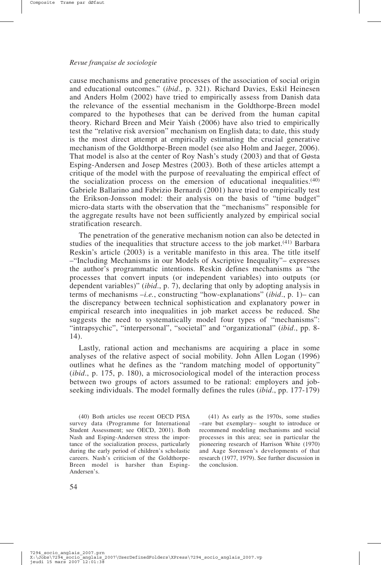cause mechanisms and generative processes of the association of social origin and educational outcomes." (*ibid*., p. 321). Richard Davies, Eskil Heinesen and Anders Holm (2002) have tried to empirically assess from Danish data the relevance of the essential mechanism in the Goldthorpe-Breen model compared to the hypotheses that can be derived from the human capital theory. Richard Breen and Meir Yaish (2006) have also tried to empirically test the "relative risk aversion" mechanism on English data; to date, this study is the most direct attempt at empirically estimating the crucial generative mechanism of the Goldthorpe-Breen model (see also Holm and Jaeger, 2006). That model is also at the center of Roy Nash's study (2003) and that of Gøsta Esping-Andersen and Josep Mestres (2003). Both of these articles attempt a critique of the model with the purpose of reevaluating the empirical effect of the socialization process on the emersion of educational inequalities.(40) Gabriele Ballarino and Fabrizio Bernardi (2001) have tried to empirically test the Erikson-Jonsson model: their analysis on the basis of "time budget" micro-data starts with the observation that the "mechanisms" responsible for the aggregate results have not been sufficiently analyzed by empirical social stratification research.

The penetration of the generative mechanism notion can also be detected in studies of the inequalities that structure access to the job market.<sup>(41)</sup> Barbara Reskin's article (2003) is a veritable manifesto in this area. The title itself –"Including Mechanisms in our Models of Ascriptive Inequality"– expresses the author's programmatic intentions. Reskin defines mechanisms as "the processes that convert inputs (or independent variables) into outputs (or dependent variables)" (*ibid*., p. 7), declaring that only by adopting analysis in terms of mechanisms –*i.e.*, constructing "how-explanations" (*ibid*., p. 1)– can the discrepancy between technical sophistication and explanatory power in empirical research into inequalities in job market access be reduced. She suggests the need to systematically model four types of "mechanisms": "intrapsychic", "interpersonal", "societal" and "organizational" (*ibid*., pp. 8- 14).

Lastly, rational action and mechanisms are acquiring a place in some analyses of the relative aspect of social mobility. John Allen Logan (1996) outlines what he defines as the "random matching model of opportunity" (*ibid*., p. 175, p. 180), a microsociological model of the interaction process between two groups of actors assumed to be rational: employers and jobseeking individuals. The model formally defines the rules (*ibid*., pp. 177-179)

(41) As early as the 1970s, some studies –rare but exemplary– sought to introduce or recommend modeling mechanisms and social processes in this area; see in particular the pioneering research of Harrison White (1970) and Aage Sorensen's developments of that research (1977, 1979). See further discussion in the conclusion.

<sup>(40)</sup> Both articles use recent OECD PISA survey data (Programme for International Student Assessment; see OECD, 2001). Both Nash and Esping-Andersen stress the importance of the socialization process, particularly during the early period of children's scholastic careers. Nash's criticism of the Goldthorpe-Breen model is harsher than Esping-Andersen's.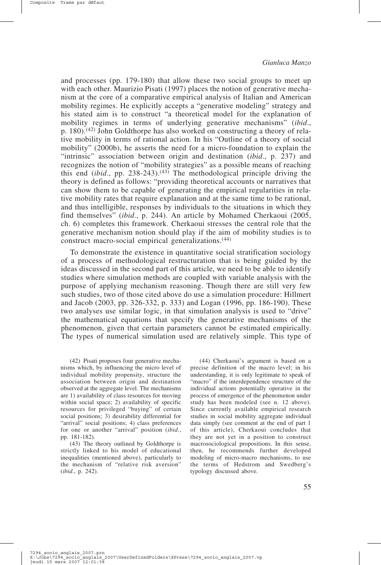and processes (pp. 179-180) that allow these two social groups to meet up with each other. Maurizio Pisati (1997) places the notion of generative mechanism at the core of a comparative empirical analysis of Italian and American mobility regimes. He explicitly accepts a "generative modeling" strategy and his stated aim is to construct "a theoretical model for the explanation of mobility regimes in terms of underlying generative mechanisms" (*ibid*., p. 180).(42) John Goldthorpe has also worked on constructing a theory of relative mobility in terms of rational action. In his "Outline of a theory of social mobility" (2000b), he asserts the need for a micro-foundation to explain the "intrinsic" association between origin and destination (*ibid*., p. 237) and recognizes the notion of "mobility strategies" as a possible means of reaching this end (*ibid.*, pp. 238-243).<sup>(43)</sup> The methodological principle driving the theory is defined as follows: "providing theoretical accounts or narratives that can show them to be capable of generating the empirical regularities in relative mobility rates that require explanation and at the same time to be rational, and thus intelligible, responses by individuals to the situations in which they find themselves" (*ibid*., p. 244). An article by Mohamed Cherkaoui (2005, ch. 6) completes this framework. Cherkaoui stresses the central role that the generative mechanism notion should play if the aim of mobility studies is to construct macro-social empirical generalizations.(44)

To demonstrate the existence in quantitative social stratification sociology of a process of methodological restructuration that is being guided by the ideas discussed in the second part of this article, we need to be able to identify studies where simulation methods are coupled with variable analysis with the purpose of applying mechanism reasoning. Though there are still very few such studies, two of those cited above do use a simulation procedure: Hillmert and Jacob (2003, pp. 326-332, p. 333) and Logan (1996, pp. 186-190). These two analyses use similar logic, in that simulation analysis is used to "drive" the mathematical equations that specify the generative mechanisms of the phenomenon, given that certain parameters cannot be estimated empirically. The types of numerical simulation used are relatively simple. This type of

(42) Pisati proposes four generative mechanisms which, by influencing the micro level of individual mobility propensity, structure the association between origin and destination observed at the aggregate level. The mechanisms are 1) availability of class resources for moving within social space; 2) availability of specific resources for privileged "buying" of certain social positions; 3) desirability differential for "arrival" social positions; 4) class preferences for one or another "arrival" position (*ibid*., pp. 181-182).

(43) The theory outlined by Goldthorpe is strictly linked to his model of educational inequalities (mentioned above), particularly to the mechanism of "relative risk aversion" (*ibid*., p. 242).

(44) Cherkaoui's argument is based on a precise definition of the macro level; in his understanding, it is only legitimate to speak of "macro" if the interdependence structure of the individual actions potentially operative in the process of emergence of the phenomenon under study has been modeled (see n. 12 above). Since currently available empirical research studies in social mobility aggregate individual data simply (see comment at the end of part 1 of this article), Cherkaoui concludes that they are not yet in a position to construct macrosociological propositions. In this sense, then, he recommends further developed modeling of micro-macro mechanisms, to use the terms of Hedstrom and Swedberg's typology discussed above.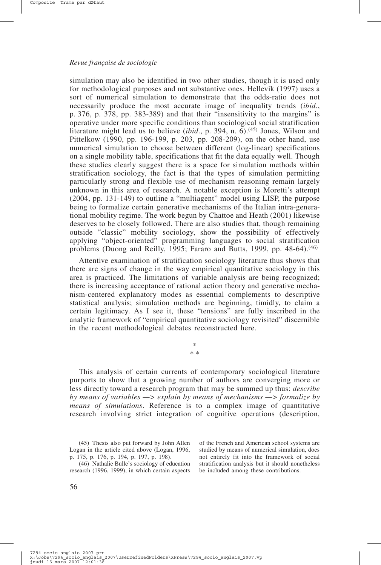simulation may also be identified in two other studies, though it is used only for methodological purposes and not substantive ones. Hellevik (1997) uses a sort of numerical simulation to demonstrate that the odds-ratio does not necessarily produce the most accurate image of inequality trends (*ibid*., p. 376, p. 378, pp. 383-389) and that their "insensitivity to the margins" is operative under more specific conditions than sociological social stratification literature might lead us to believe (*ibid*., p. 394, n. 6).(45) Jones, Wilson and Pittelkow (1990, pp. 196-199, p. 203, pp. 208-209), on the other hand, use numerical simulation to choose between different (log-linear) specifications on a single mobility table, specifications that fit the data equally well. Though these studies clearly suggest there is a space for simulation methods within stratification sociology, the fact is that the types of simulation permitting particularly strong and flexible use of mechanism reasoning remain largely unknown in this area of research. A notable exception is Moretti's attempt (2004, pp. 131-149) to outline a "multiagent" model using LISP, the purpose being to formalize certain generative mechanisms of the Italian intra-generational mobility regime. The work begun by Chattoe and Heath (2001) likewise deserves to be closely followed. There are also studies that, though remaining outside "classic" mobility sociology, show the possibility of effectively applying "object-oriented" programming languages to social stratification problems (Duong and Reilly, 1995; Fararo and Butts, 1999, pp.  $48-64$ ).<sup> $(46)$ </sup>

Attentive examination of stratification sociology literature thus shows that there are signs of change in the way empirical quantitative sociology in this area is practiced. The limitations of variable analysis are being recognized; there is increasing acceptance of rational action theory and generative mechanism-centered explanatory modes as essential complements to descriptive statistical analysis; simulation methods are beginning, timidly, to claim a certain legitimacy. As I see it, these "tensions" are fully inscribed in the analytic framework of "empirical quantitative sociology revisited" discernible in the recent methodological debates reconstructed here.

> \* \* \*

This analysis of certain currents of contemporary sociological literature purports to show that a growing number of authors are converging more or less directly toward a research program that may be summed up thus: *describe by means of variables —> explain by means of mechanisms —> formalize by means of simulations*. Reference is to a complex image of quantitative research involving strict integration of cognitive operations (description,

(46) Nathalie Bulle's sociology of education research (1996, 1999), in which certain aspects of the French and American school systems are studied by means of numerical simulation, does not entirely fit into the framework of social stratification analysis but it should nonetheless be included among these contributions.

<sup>(45)</sup> Thesis also put forward by John Allen Logan in the article cited above (Logan, 1996, p. 175, p. 176, p. 194, p. 197, p. 198).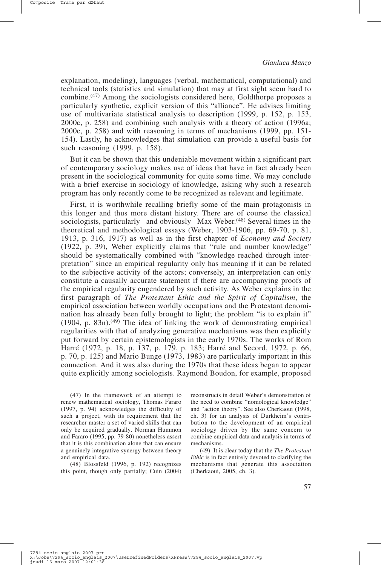explanation, modeling), languages (verbal, mathematical, computational) and technical tools (statistics and simulation) that may at first sight seem hard to combine.(47) Among the sociologists considered here, Goldthorpe proposes a particularly synthetic, explicit version of this "alliance". He advises limiting use of multivariate statistical analysis to description (1999, p. 152, p. 153, 2000c, p. 258) and combining such analysis with a theory of action (1996a; 2000c, p. 258) and with reasoning in terms of mechanisms (1999, pp. 151- 154). Lastly, he acknowledges that simulation can provide a useful basis for such reasoning (1999, p. 158).

But it can be shown that this undeniable movement within a significant part of contemporary sociology makes use of ideas that have in fact already been present in the sociological community for quite some time. We may conclude with a brief exercise in sociology of knowledge, asking why such a research program has only recently come to be recognized as relevant and legitimate.

First, it is worthwhile recalling briefly some of the main protagonists in this longer and thus more distant history. There are of course the classical sociologists, particularly –and obviously– Max Weber.<sup> $(48)$ </sup> Several times in the theoretical and methodological essays (Weber, 1903-1906, pp. 69-70, p. 81, 1913, p. 316, 1917) as well as in the first chapter of *Economy and Society* (1922, p. 39), Weber explicitly claims that "rule and number knowledge" should be systematically combined with "knowledge reached through interpretation" since an empirical regularity only has meaning if it can be related to the subjective activity of the actors; conversely, an interpretation can only constitute a causally accurate statement if there are accompanying proofs of the empirical regularity engendered by such activity. As Weber explains in the first paragraph of *The Protestant Ethic and the Spirit of Capitalism*, the empirical association between worldly occupations and the Protestant denomination has already been fully brought to light; the problem "is to explain it"  $(1904, p. 83n)$ .<sup>(49)</sup> The idea of linking the work of demonstrating empirical regularities with that of analyzing generative mechanisms was then explicitly put forward by certain epistemologists in the early 1970s. The works of Rom Harré (1972, p. 18, p. 137, p. 179, p. 183; Harré and Secord, 1972, p. 66, p. 70, p. 125) and Mario Bunge (1973, 1983) are particularly important in this connection. And it was also during the 1970s that these ideas began to appear quite explicitly among sociologists. Raymond Boudon, for example, proposed

(47) In the framework of an attempt to renew mathematical sociology, Thomas Fararo (1997, p. 94) acknowledges the difficulty of such a project, with its requirement that the researcher master a set of varied skills that can only be acquired gradually. Norman Hummon and Fararo (1995, pp. 79-80) nonetheless assert that it is this combination alone that can ensure a genuinely integrative synergy between theory and empirical data.

(48) Blossfeld (1996, p. 192) recognizes this point, though only partially; Cuin (2004)

reconstructs in detail Weber's demonstration of the need to combine "nomological knowledge" and "action theory". See also Cherkaoui (1998, ch. 3) for an analysis of Durkheim's contribution to the development of an empirical sociology driven by the same concern to combine empirical data and analysis in terms of mechanisms.

(49) It is clear today that the *The Protestant Ethic* is in fact entirely devoted to clarifying the mechanisms that generate this association (Cherkaoui, 2005, ch. 3).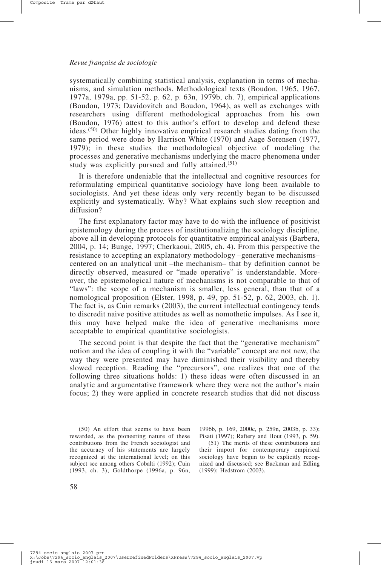systematically combining statistical analysis, explanation in terms of mechanisms, and simulation methods. Methodological texts (Boudon, 1965, 1967, 1977a, 1979a, pp. 51-52, p. 62, p. 63n, 1979b, ch. 7), empirical applications (Boudon, 1973; Davidovitch and Boudon, 1964), as well as exchanges with researchers using different methodological approaches from his own (Boudon, 1976) attest to this author's effort to develop and defend these ideas.(50) Other highly innovative empirical research studies dating from the same period were done by Harrison White (1970) and Aage Sorensen (1977, 1979); in these studies the methodological objective of modeling the processes and generative mechanisms underlying the macro phenomena under study was explicitly pursued and fully attained.(51)

It is therefore undeniable that the intellectual and cognitive resources for reformulating empirical quantitative sociology have long been available to sociologists. And yet these ideas only very recently began to be discussed explicitly and systematically. Why? What explains such slow reception and diffusion?

The first explanatory factor may have to do with the influence of positivist epistemology during the process of institutionalizing the sociology discipline, above all in developing protocols for quantitative empirical analysis (Barbera, 2004, p. 14; Bunge, 1997; Cherkaoui, 2005, ch. 4). From this perspective the resistance to accepting an explanatory methodology –generative mechanisms– centered on an analytical unit –the mechanism– that by definition cannot be directly observed, measured or "made operative" is understandable. Moreover, the epistemological nature of mechanisms is not comparable to that of "laws": the scope of a mechanism is smaller, less general, than that of a nomological proposition (Elster, 1998, p. 49, pp. 51-52, p. 62, 2003, ch. 1). The fact is, as Cuin remarks (2003), the current intellectual contingency tends to discredit naive positive attitudes as well as nomothetic impulses. As I see it, this may have helped make the idea of generative mechanisms more acceptable to empirical quantitative sociologists.

The second point is that despite the fact that the "generative mechanism" notion and the idea of coupling it with the "variable" concept are not new, the way they were presented may have diminished their visibility and thereby slowed reception. Reading the "precursors", one realizes that one of the following three situations holds: 1) these ideas were often discussed in an analytic and argumentative framework where they were not the author's main focus; 2) they were applied in concrete research studies that did not discuss

(50) An effort that seems to have been rewarded, as the pioneering nature of these contributions from the French sociologist and the accuracy of his statements are largely recognized at the international level; on this subject see among others Cobalti (1992); Cuin (1993, ch. 3); Goldthorpe (1996a, p. 96n,

1996b, p. 169, 2000c, p. 259n, 2003b, p. 33); Pisati (1997); Raftery and Hout (1993, p. 59).

(51) The merits of these contributions and their import for contemporary empirical sociology have begun to be explicitly recognized and discussed; see Backman and Edling (1999); Hedstrom (2003).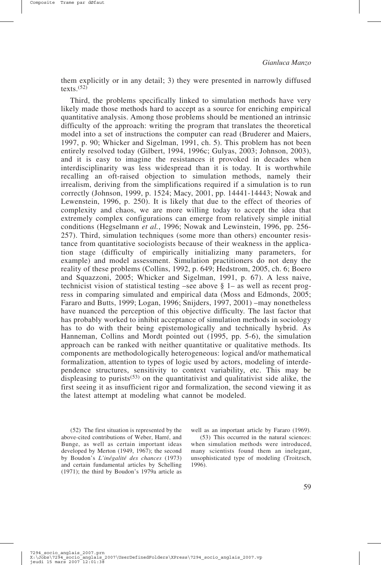them explicitly or in any detail; 3) they were presented in narrowly diffused texts. $(52)$ 

Third, the problems specifically linked to simulation methods have very likely made those methods hard to accept as a source for enriching empirical quantitative analysis. Among those problems should be mentioned an intrinsic difficulty of the approach: writing the program that translates the theoretical model into a set of instructions the computer can read (Bruderer and Maiers, 1997, p. 90; Whicker and Sigelman, 1991, ch. 5). This problem has not been entirely resolved today (Gilbert, 1994, 1996c; Gulyas, 2003; Johnson, 2003), and it is easy to imagine the resistances it provoked in decades when interdisciplinarity was less widespread than it is today. It is worthwhile recalling an oft-raised objection to simulation methods, namely their irrealism, deriving from the simplifications required if a simulation is to run correctly (Johnson, 1999, p. 1524; Macy, 2001, pp. 14441-14443; Nowak and Lewenstein, 1996, p. 250). It is likely that due to the effect of theories of complexity and chaos, we are more willing today to accept the idea that extremely complex configurations can emerge from relatively simple initial conditions (Hegselmann *et al.*, 1996; Nowak and Lewinstein, 1996, pp. 256- 257). Third, simulation techniques (some more than others) encounter resistance from quantitative sociologists because of their weakness in the application stage (difficulty of empirically initializing many parameters, for example) and model assessment. Simulation practitioners do not deny the reality of these problems (Collins, 1992, p. 649; Hedstrom, 2005, ch. 6; Boero and Squazzoni, 2005; Whicker and Sigelman, 1991, p. 67). A less naive, technicist vision of statistical testing –see above  $\S$  1– as well as recent progress in comparing simulated and empirical data (Moss and Edmonds, 2005; Fararo and Butts, 1999; Logan, 1996; Snijders, 1997, 2001) –may nonetheless have nuanced the perception of this objective difficulty. The last factor that has probably worked to inhibit acceptance of simulation methods in sociology has to do with their being epistemologically and technically hybrid. As Hanneman, Collins and Mordt pointed out (1995, pp. 5-6), the simulation approach can be ranked with neither quantitative or qualitative methods. Its components are methodologically heterogeneous: logical and/or mathematical formalization, attention to types of logic used by actors, modeling of interdependence structures, sensitivity to context variability, etc. This may be displeasing to purists<sup> $(53)$ </sup> on the quantitativist and qualitativist side alike, the first seeing it as insufficient rigor and formalization, the second viewing it as the latest attempt at modeling what cannot be modeled.

(52) The first situation is represented by the above-cited contributions of Weber, Harré, and Bunge, as well as certain important ideas developed by Merton (1949, 1967); the second by Boudon's *L'inégalité des chances* (1973) and certain fundamental articles by Schelling (1971); the third by Boudon's 1979a article as well as an important article by Fararo (1969).

(53) This occurred in the natural sciences: when simulation methods were introduced, many scientists found them an inelegant, unsophisticated type of modeling (Troitzsch, 1996).

7294 socio anglais\_2007.prn<br>X:\Jobs\7294\_socio\_anglais\_2007\UserDefinedFolders\XPress\7294\_socio\_anglais\_2007.vp<br>jeudi 15 mars 2007\_12:01:38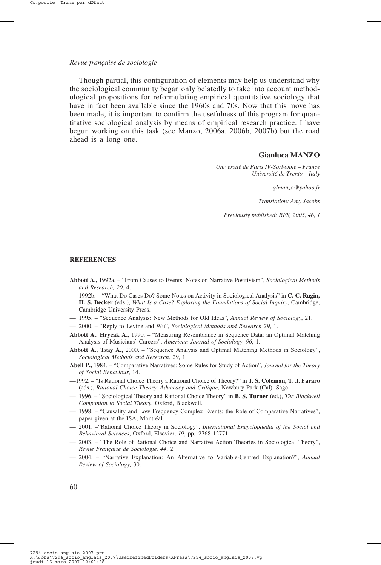Though partial, this configuration of elements may help us understand why the sociological community began only belatedly to take into account methodological propositions for reformulating empirical quantitative sociology that have in fact been available since the 1960s and 70s. Now that this move has been made, it is important to confirm the usefulness of this program for quantitative sociological analysis by means of empirical research practice. I have begun working on this task (see Manzo, 2006a, 2006b, 2007b) but the road ahead is a long one.

#### **Gianluca MANZO**

*Université de Paris IV-Sorbonne – France Université de Trento – Italy*

*glmanzo@yahoo.fr*

*Translation: Amy Jacobs*

*Previously published: RFS, 2005, 46, 1*

#### **REFERENCES**

- **Abbott A.,** 1992a. "From Causes to Events: Notes on Narrative Positivism", *Sociological Methods and Research, 20,* 4.
- 1992b. "What Do Cases Do? Some Notes on Activity in Sociological Analysis" in **C. C. Ragin, H. S. Becker** (eds.), *What Is a Case*? *Exploring the Foundations of Social Inquiry*, Cambridge, Cambridge University Press.
- 1995. "Sequence Analysis: New Methods for Old Ideas", *Annual Review of Sociology*, 21.
- 2000. "Reply to Levine and Wu", *Sociological Methods and Research 29*, 1.
- **Abbott A.**, **Hrycak A.,** 1990. "Measuring Resemblance in Sequence Data: an Optimal Matching Analysis of Musicians' Careers", *American Journal of Sociology, 96*, 1.
- **Abbott A.**, **Tsay A.,** 2000. "Sequence Analysis and Optimal Matching Methods in Sociology", *Sociological Methods and Research, 29*, 1.
- **Abell P.,** 1984. "Comparative Narratives: Some Rules for Study of Action", *Journal for the Theory of Social Behaviour*, 14.
- —1992. "Is Rational Choice Theory a Rational Choice of Theory?" in **J. S. Coleman, T. J. Fararo** (eds.), *Rational Choice Theory*: *Advocacy and Critique*, Newbury Park (Cal), Sage.
- 1996. "Sociological Theory and Rational Choice Theory" in **B. S. Turner** (ed.), *The Blackwell Companion to Social Theory*, Oxford, Blackwell.
- 1998. "Causality and Low Frequency Complex Events: the Role of Comparative Narratives", paper given at the ISA, Montréal.
- 2001. –"Rational Choice Theory in Sociology", *International Encyclopaedia of the Social and Behavioral Sciences*, Oxford, Elsevier, *19*, pp.12768-12771.
- 2003. "The Role of Rational Choice and Narrative Action Theories in Sociological Theory", *Revue Française de Sociologie, 44*, 2.
- 2004. "Narrative Explanation: An Alternative to Variable-Centred Explanation?", *Annual Review of Sociology,* 30.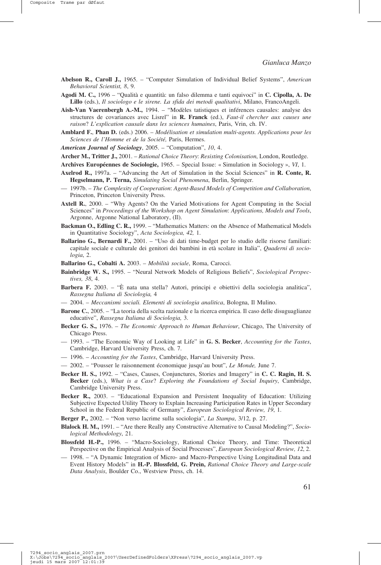Composite Trame par dØfaut

- **Abelson R., Caroll J.,** 1965. "Computer Simulation of Individual Belief Systems", *American Behavioral Scientist, 8*, 9.
- **Agodi M. C.,** 1996 "Qualità e quantità: un falso dilemma e tanti equivoci" in **C. Cipolla, A. De Lillo** (eds.), *Il sociologo e le sirene. La sfida dei metodi qualitativi*, Milano, FrancoAngeli.
- **Aish-Van Vaerenbergh A.-M.,** 1994. "Modèles tatistiques et inférences causales: analyse des structures de covariances avec Lisrel" in **R. Franck** (ed.), *Faut-il chercher aux causes une raison*? *L'explication causale dans les sciences humaines*, Paris, Vrin, ch. IV.
- **Amblard F.**, **Phan D.** (eds.) 2006. *Modélisation et simulation multi-agents. Applications pour les Sciences de l'Homme et de la Société,* Paris, Hermes.
- *American Journal of Sociology*, 2005. "Computation", *10*, 4.
- **Archer M., Tritter J.,** 2001. *Rational Choice Theory*: *Resisting Colonisation*, London, Routledge.
- **Archives Européennes de Sociologie,** 1965. Special Issue: « Simulation in Sociology », *VI*, 1.
- **Axelrod R.,** 1997a. "Advancing the Art of Simulation in the Social Sciences" in **R. Conte, R. Hegselmann, P. Terna,** *Simulating Social Phenomena*, Berlin, Springer.
- 1997b. *The Complexity of Cooperation*: *Agent-Based Models of Competition and Collaboration*, Princeton, Princeton University Press.
- **Axtell R.**, 2000. "Why Agents? On the Varied Motivations for Agent Computing in the Social Sciences" in *Proceedings of the Workshop on Agent Simulation*: *Applications, Models and Tools*, Argonne, Argonne National Laboratory, (Il).
- **Backman O., Edling C. R.,** 1999. "Mathematics Matters: on the Absence of Mathematical Models in Quantitative Sociology", *Acta Sociologica, 42,* 1.
- **Ballarino G., Bernardi F.,** 2001. "Uso di dati time-budget per lo studio delle risorse familiari: capitale sociale e culturale dei genitori dei bambini in età scolare in Italia", *Quaderni di sociologia*, 2.

**Ballarino G., Cobalti A.** 2003. – *Mobilità sociale*, Roma, Carocci.

- **Bainbridge W. S.,** 1995. "Neural Network Models of Religious Beliefs", *Sociological Perspectives, 38*, 4.
- **Barbera F.** 2003. "È nata una stella? Autori, principi e obiettivi della sociologia analitica", *Rassegna Italiana di Sociologia,* 4
- 2004. *Meccanismi sociali. Elementi di sociologia analitica*, Bologna, Il Mulino.
- **Barone C.**, 2005. "La teoria della scelta razionale e la ricerca empirica. Il caso delle disuguaglianze educative", *Rassegna Italiana di Sociologia,* 3.
- **Becker G. S.,** 1976. *The Economic Approach to Human Behaviour*, Chicago, The University of Chicago Press.
- 1993. "The Economic Way of Looking at Life" in **G. S. Becker**, *Accounting for the Tastes*, Cambridge, Harvard University Press, ch. 7.
- 1996. *Accounting for the Tastes*, Cambridge, Harvard University Press.
- 2002. "Pousser le raisonnement économique jusqu'au bout", *Le Monde,* June 7.
- **Becker H. S.,** 1992. "Cases, Causes, Conjunctures, Stories and Imagery" in **C. C. Ragin, H. S. Becker** (eds.), *What is a Case*? *Exploring the Foundations of Social Inquiry*, Cambridge, Cambridge University Press.
- **Becker R.,** 2003. "Educational Expansion and Persistent Inequality of Education: Utilizing Subjective Expected Utility Theory to Explain Increasing Participation Rates in Upper Secondary School in the Federal Republic of Germany", *European Sociological Review, 19*, 1.
- **Berger P.,** 2002. "Non verso lacrime sulla sociologia", *La Stampa*, 3/12, p. 27.
- **Blalock H. M.,** 1991. "Are there Really any Constructive Alternative to Causal Modeling?", *Sociological Methodology*, 21.
- **Blossfeld H.-P.,** 1996. "Macro-Sociology, Rational Choice Theory, and Time: Theoretical Perspective on the Empirical Analysis of Social Processes", *European Sociological Review, 12*, 2.
- 1998. "A Dynamic Integration of Micro- and Macro-Perspective Using Longitudinal Data and Event History Models" in **H.-P. Blossfeld, G. Prein,** *Rational Choice Theory and Large-scale Data Analysis*, Boulder Co., Westview Press, ch. 14.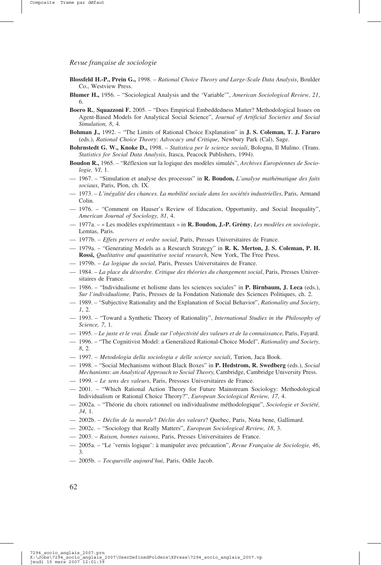- **Blossfeld H.-P., Prein G.,** 1998. *Rational Choice Theory and Large-Scale Data Analysis*, Boulder Co., Westview Press.
- **Blumer H.,** 1956. "Sociological Analysis and the 'Variable'", *American Sociological Review, 21*, 6.
- **Boero R.**, **Squazzoni F.** 2005. "Does Empirical Embeddedness Matter? Methodological Issues on Agent-Based Models for Analytical Social Science", *Journal of Artificial Societies and Social Simulation, 8*, 4.
- **Bohman J.,** 1992. "The Limits of Rational Choice Explanation" in **J. S. Coleman, T. J. Fararo** (eds.), *Rational Choice Theory*: *Advocacy and Critique*, Newbury Park (Cal), Sage.
- **Bohrnstedt G. W., Knoke D.,** 1998. *Statistica per le scienze sociali*, Bologna, Il Mulino. (Trans. *Statistics for Social Data Analysis*, Itasca, Peacock Publishers, 1994).
- **Boudon R.,** 1965. "Réflexion sur la logique des modèles simulés", *Archives Européennes de Sociologie, VI*, 1.
- 1967. "Simulation et analyse des processus" in **R. Boudon,** *L'analyse mathématique des faits sociaux*, Paris, Plon, ch. IX.
- 1973. *L'inégalité des chances. La mobilité sociale dans les sociétés industrielles*, Paris, Armand Colin.
- 1976. "Comment on Hauser's Review of Education, Opportunity, and Social Inequality", *American Journal of Sociology, 81*, 4.
- 1977a. « Les modèles expérimentaux » in **R. Boudon, J.-P. Grémy**, *Les modèles en sociologie*, Lemtas, Paris.
- 1977b. *Effets pervers et ordre social*, Paris, Presses Universitaires de France.
- 1979a. "Generating Models as a Research Strategy" in **R. K. Merton, J. S. Coleman, P. H. Rossi,** *Qualitative and quantitative social research*, New York, The Free Press.
- 1979b. *La logique du social*, Paris, Presses Universitaires de France.
- 1984. *La place du désordre. Critique des théories du changement social*, Paris, Presses Universitaires de France.
- 1986. "Individualisme et holisme dans les sciences sociales" in **P. Birnbaum, J. Leca** (eds.), *Sur l'individualisme,* Paris, Presses de la Fondation Nationale des Sciences Politiques, ch. 2.
- 1989. "Subjective Rationality and the Explanation of Social Behavior", *Rationality and Society, 1*, 2.
- 1993. "Toward a Synthetic Theory of Rationality", *International Studies in the Philosophy of Science, 7*, 1.
- 1995. *Le juste et le vrai. Étude sur l'objectivité des valeurs et de la connaissance*, Paris, Fayard.
- 1996. "The Cognitivist Model: a Generalized Rational-Choice Model", *Rationality and Society, 8*, 2.
- 1997. *Metodologia della sociologia e delle scienze sociali*, Turion, Jaca Book.
- 1998. "Social Mechanisms without Black Boxes" in **P. Hedstrom, R. Swedberg** (eds.), *Social Mechanisms*: *an Analytical Approach to Social Theory*, Cambridge, Cambridge University Press.
- 1999. *Le sens des valeurs*, Paris, Pressses Universitaires de France.
- 2001. "Which Rational Action Theory for Future Mainstream Sociology: Methodological Individualism or Rational Choice Theory?", *European Sociological Review, 17*, 4.
- 2002a. "Théorie du choix rationnel ou individualisme méthodologique", *Sociologie et Société, 34*, 1.
- 2002b. *Déclin de la morale*? *Déclin des valeurs*? Quebec, Paris, Nota bene, Gallimard.
- 2002c. "Sociology that Really Matters", *European Sociological Review, 18*, 3.
- 2003. *Raison, bonnes raisons*, Paris, Presses Universitaires de France.
- 2005a. "Le 'vernis logique': à manipuler avec précaution", *Revue Française de Sociologie, 46*, 3.
- 2005b. *Tocqueville aujourd'hui*, Paris, Odile Jacob.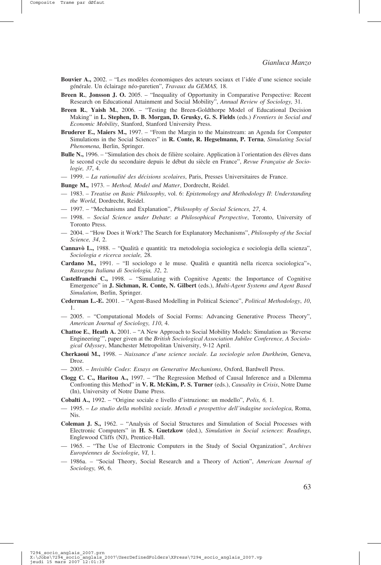- **Bouvier A.,** 2002. "Les modèles économiques des acteurs sociaux et l'idée d'une science sociale générale. Un éclairage néo-paretien", *Travaux du GEMAS,* 18.
- **Breen R.**, **Jonsson J. O.** 2005. "Inequality of Opportunity in Comparative Perspective: Recent Research on Educational Attainment and Social Mobility", *Annual Review of Sociology,* 31.
- **Breen R.**, **Yaish M.**, 2006. "Testing the Breen-Goldthorpe Model of Educational Decision Making" in **L. Stephen, D. B. Morgan, D. Grusky, G. S. Fields** (eds.) *Frontiers in Social and Economic Mobility*, Stanford, Stanford University Press.
- **Bruderer E., Maiers M.,** 1997. "From the Margin to the Mainstream: an Agenda for Computer Simulations in the Social Sciences" in **R. Conte, R. Hegselmann, P. Terna**, *Simulating Social Phenomena*, Berlin, Springer.
- Bulle N., 1996. "Simulation des choix de filière scolaire. Application à l'orientation des élèves dans le second cycle du secondaire depuis le début du siècle en France", *Revue Française de Sociologie, 37*, 4.
- 1999. *La rationalité des décisions scolaires*, Paris, Presses Universitaires de France.
- **Bunge M.,** 1973. *Method, Model and Matter*, Dordrecht, Reidel.
- 1983. *Treatise on Basic Philosophy*, vol. 6: *Epistemology and Methodology II*: *Understanding the World*, Dordrecht, Reidel.
- 1997. "Mechanisms and Explanation", *Philosophy of Social Sciences, 27*, 4.
- 1998. *Social Science under Debate*: *a Philosophical Perspective*, Toronto, University of Toronto Press.
- 2004. "How Does it Work? The Search for Explanatory Mechanisms", *Philosophy of the Social Science, 34*, 2.
- Cannavò L., 1988. "Qualità e quantità: tra metodologia sociologica e sociologia della scienza", *Sociologia e ricerca sociale,* 28.
- **Cardano M.,** 1991. "Il sociologo e le muse. Qualità e quantità nella ricerca sociologica"», *Rassegna Italiana di Sociologia, 32*, 2.
- **Castelfranchi C.,** 1998. "Simulating with Cognitive Agents: the Importance of Cognitive Emergence" in **J. Sichman, R. Conte, N. Gilbert** (eds.), *Multi-Agent Systems and Agent Based Simulation*, Berlin, Springer.
- **Cederman L.-E.** 2001. "Agent-Based Modelling in Political Science", *Political Methodology*, *10*, 1.
- 2005. "Computational Models of Social Forms: Advancing Generative Process Theory", *American Journal of Sociology, 110*, 4.
- **Chattoe E.**, **Heath A.** 2001. "A New Approach to Social Mobility Models: Simulation as 'Reverse Engineering'", paper given at the *British Sociological Association Jubilee Conference, A Sociological Odyssey*, Manchester Metropolitan University, 9-12 April.
- **Cherkaoui M.,** 1998. *Naissance d'une science sociale. La sociologie selon Durkheim*, Geneva, Droz.
- 2005. *Invisible Codes*: *Essays on Generative Mechanisms*, Oxford, Bardwell Press.
- **Clogg C. C., Haritou A.,** 1997. "The Regression Method of Causal Inference and a Dilemma Confronting this Method" in **V. R. McKim, P. S. Turner** (eds.), *Causality in Crisis*, Notre Dame (In), University of Notre Dame Press.
- **Cobalti A.,** 1992. "Origine sociale e livello d'istruzione: un modello", *Polis, 6,* 1.
- 1995. *Lo studio della mobilità sociale. Metodi e prospettive dell'indagine sociologica*, Roma, Nis.
- **Coleman J. S.,** 1962. "Analysis of Social Structures and Simulation of Social Processes with Electronic Computers" in **H. S. Guetzkow** (ded.), *Simulation in Social sciences*: *Readings*, Englewood Cliffs (NJ), Prentice-Hall.
- 1965. "The Use of Electronic Computers in the Study of Social Organization", *Archives Européennes de Sociologie*, *VI*, 1.
- 1986a. "Social Theory, Social Research and a Theory of Action", *American Journal of Sociology, 96*, 6.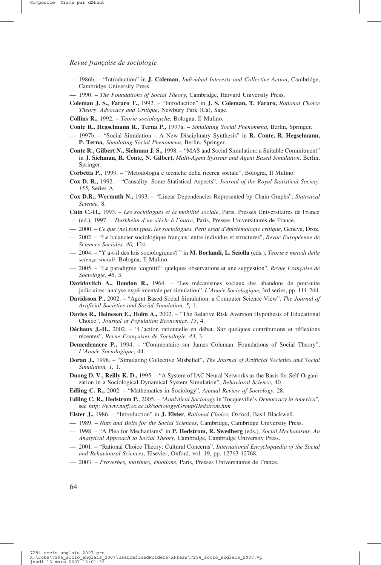- 1986b. "Introduction" in **J. Coleman**, *Individual Interests and Collective Action*, Cambridge, Cambridge University Press.
- 1990. *The Foundations of Social Theory*, Cambridge, Harvard University Press.
- **Coleman J. S., Fararo T.,** 1992. "Introduction" in **J. S. Coleman, T. Fararo,** *Rational Choice Theory*: *Advocacy and Critique*, Newbury Park (Ca), Sage.
- **Collins R.,** 1992. *Teorie sociologiche*, Bologna, Il Mulino.
- **Conte R., Hegselmann R., Terna P.,** 1997a. *Simulating Social Phenomena*, Berlin, Springer.
- 1997b. "Social Simulation A New Disciplinary Synthesis" in **R. Conte, R. Hegselmann, P. Terna,** *Simulating Social Phenomena*, Berlin, Springer.
- **Conte R., Gilbert N., Sichman J. S.,** 1998. "MAS and Social Simulation: a Suitable Commitment" in **J. Sichman, R. Conte, N. Gilbert,** *Multi-Agent Systems and Agent Based Simulation*, Berlin, Springer.
- **Corbetta P.,** 1999. "Metodologia e tecniche della ricerca sociale", Bologna, Il Mulino.
- **Cox D. R.,** 1992. "Causality: Some Statistical Aspects", *Journal of the Royal Statistical Society, 155,* Series A.
- **Cox D.R., Wermuth N.,** 1993. "Linear Dependencies Represented by Chain Graphs", *Statistical Science,* 8.
- **Cuin C.-H.,** 1993. *Les sociologues et la mobilité sociale*, Paris, Presses Universitaires de France — (ed.), 1997. – *Durkheim d'un siècle à l'autre*, Paris, Presses Universitaires de France.
- 2000. *Ce que (ne) font (pas) les sociologues. Petit essai d'épistémologie critique*, Geneva, Droz.
- 2002. "Le balancier sociologique français: entre individus et structures", *Revue Européenne de Sciences Sociales, 40,* 124.
- 2004. "Y a-t-il des lois sociologiques? " in **M. Borlandi, L. Sciolla** (eds.), *Teorie e metodi delle scienze sociali*, Bologna, Il Mulino.
- 2005. "Le paradigme 'cognitif': quelques observations et une suggestion", *Revue Française de Sociologie, 46*, 3.
- **Davidovitch A., Boudon R.,** 1964. "Les mécanismes sociaux des abandons de poursuite judiciaires: analyse expérimentale par simulation", *L'Année Sociologique,* 3rd series, pp. 111-244.
- **Davidsson P.,** 2002. "Agent Based Social Simulation: a Computer Science View", *The Journal of Artificial Societies and Social Simulation, 5,* 1.
- **Davies R., Heinesen E., Holm A.,** 2002. "The Relative Risk Aversion Hypothesis of Educational Choice", *Journal of Population Economics, 15*, 4.
- **Déchaux J.-H.,** 2002. "L'action rationnelle en débat. Sur quelques contributions et réflexions récentes", *Revue Françaises de Sociologie, 43*, 3.
- **Demeulenaere P.,** 1994. "Commentaire sur James Coleman: Foundations of Social Theory", *L'Année Sociologique*, 44.
- **Doran J.,** 1998. "Simulating Collective Misbelief", *The Journal of Artificial Societies and Social Simulation, 1,* 1.
- **Duong D. V., Reilly K. D.,** 1995. "A System of IAC Neural Networks as the Basis for Self-Organization in a Sociological Dynamical System Simulation", *Behavioral Science*, 40.
- **Edling C. R.,** 2002. "Mathematics in Sociology", *Annual Review of Sociology*, 28.
- **Edling C. R., Hedstrom P.**, 2005. "*Analytical Sociology* in Tocqueville's *Democracy in America*"*,* see *http*: *//www.nuff.ox.ac.uk/sociology/Group/Hedstrom.htm*
- **Elster J.,** 1986. "Introduction" in **J. Elster**, *Rational Choice*, Oxford, Basil Blackwell.
- 1989. *Nuts and Bolts for the Social Sciences*, Cambridge, Cambridge University Press.
- 1998. "A Plea for Mechanisms" in **P. Hedstrom, R. Swedberg** (eds.), *Social Mechanisms. An Analytical Approach to Social Theory*, Cambridge, Cambridge University Press.
- 2001. "Rational Choice Theory: Cultural Concerns", *International Encyclopaedia of the Social and Behavioural Sciences*, Elsevier, Oxford, vol. 19, pp. 12763-12768.
- 2003. *Proverbes, maximes, émotions*, Paris, Presses Universitaires de France.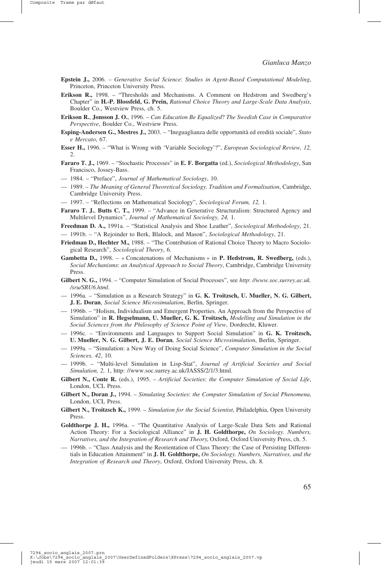- **Epstein J.,** 2006. *Generative Social Science*: *Studies in Agent-Based Computational Modeling*, Princeton, Princeton University Press.
- **Erikson R.,** 1998. "Thresholds and Mechanisms. A Comment on Hedstrom and Swedberg's Chapter" in **H.-P. Blossfeld, G. Prein,** *Rational Choice Theory and Large-Scale Data Analysis*, Boulder Co., Westview Press, ch. 5.
- **Erikson R.**, **Jonsson J. O.**, 1996. *Can Education Be Equalized*? *The Swedish Case in Comparative Perspective*, Boulder Co., Westview Press.
- **Esping-Andersen G., Mestres J.,** 2003. "Ineguaglianza delle opportunità ed eredità sociale", *Stato e Mercato*, 67.
- **Esser H.,** 1996. "What is Wrong with 'Variable Sociology'?", *European Sociological Review, 12,* 2.
- **Fararo T. J.,** 1969. "Stochastic Processes" in **E. F. Borgatta** (ed.), *Sociological Methodology*, San Francisco, Jossey-Bass.
- 1984. "Preface", *Journal of Mathematical Sociology*, 10.
- 1989. *The Meaning of General Theoretical Sociology. Tradition and Formalisation*, Cambridge, Cambridge University Press.
- 1997. "Reflections on Mathematical Sociology", *Sociological Forum, 12,* 1.
- **Fararo T. J., Butts C. T.,** 1999. "Advance in Generative Structuralism: Structured Agency and Multilevel Dynamics", *Journal of Mathematical Sociology, 24,* 1.
- **Freedman D. A.,** 1991a. "Statistical Analysis and Shoe Leather", *Sociological Methodology*, 21. — 1991b. – "A Rejoinder to Berk, Blalock, and Mason", *Sociological Methodology*, 21.
- **Friedman D., Hechter M.,** 1988. "The Contribution of Rational Choice Theory to Macro Sociological Research", *Sociological Theory*, 6.
- **Gambetta D.,** 1998. « Concatenations of Mechanisms » in **P. Hedstrom, R. Swedberg,** (eds.), *Social Mechanisms*: *an Analytical Approach to Social Theory*, Cambridge, Cambridge University Press.
- **Gilbert N. G.,** 1994. "Computer Simulation of Social Processes", see *http*: *//www.soc.surrey.ac.uk. /sru/SRU6.html*.
- 1996a. "Simulation as a Research Strategy" in **G. K. Troitzsch, U. Mueller, N. G. Gilbert, J. E. Doran**, *Social Science Microsimulation*, Berlin, Springer.
- 1996b. "Holism, Individualism and Emergent Properties. An Approach from the Perspective of Simulation" in **R. Hegselmann, U. Mueller, G. K. Troitzsch,** *Modelling and Simulation in the Social Sciences from the Philosophy of Science Point of View*, Dordrecht, Kluwer.
- 1996c. "Environments and Languages to Support Social Simulation" in **G. K. Troitzsch, U. Mueller, N. G. Gilbert, J. E. Doran**, *Social Science Microsimulation*, Berlin, Springer.
- 1999a. "Simulation: a New Way of Doing Social Science", *Computer Simulation in the Social Sciences, 42*, 10.
- 1999b. "Multi-level Simulation in Lisp-Stat", *Journal of Artificial Societies and Social Simulation, 2,* 1, http: //www.soc.surrey.ac.uk/JASSS/2/1/3.html.
- **Gilbert N., Conte R.** (eds.), 1995. *Artificial Societies*: *the Computer Simulation of Social Life*, London, UCL Press.
- **Gilbert N., Doran J.,** 1994. *Simulating Societies*: *the Computer Simulation of Social Phenomena*, London, UCL Press.
- **Gilbert N., Troitzsch K.,** 1999. *Simulation for the Social Scientist*, Philadelphia, Open University **Press**.
- **Goldthorpe J. H.,** 1996a. "The Quantitative Analysis of Large-Scale Data Sets and Rational Action Theory: For a Sociological Alliance" in **J. H. Goldthorpe,** *On Sociology. Numbers, Narratives, and the Integration of Research and Theory*, Oxford, Oxford University Press, ch. 5.
- 1996b. "Class Analysis and the Reorientation of Class Theory: the Case of Persisting Differentials in Education Attainment" in **J. H. Goldthorpe,** *On Sociology. Numbers, Narratives, and the Integration of Research and Theory*, Oxford, Oxford University Press, ch. 8.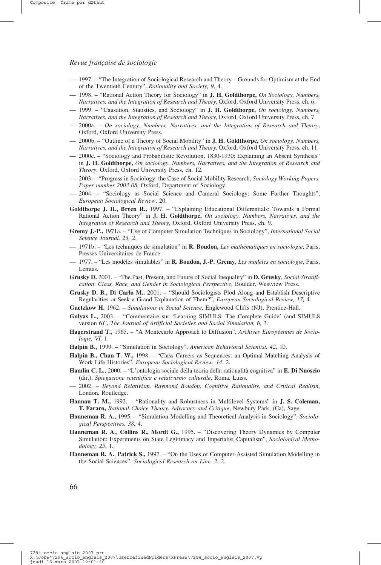- 1997. "The Integration of Sociological Research and Theory Grounds for Optimism at the End of the Twentieth Century", *Rationality and Society, 9*, 4.
- 1998. "Rational Action Theory for Sociology" in **J. H. Goldthorpe,** *On Sociology. Numbers, Narratives, and the Integration of Research and Theory*, Oxford, Oxford University Press, ch. 6.
- 1999. "Causation, Statistics, and Sociology" in **J. H. Goldthorpe,** *On sociology. Numbers, Narratives, and the Integration of Research and Theory*, Oxford, Oxford University Press, ch. 7.
- 2000a. *On sociology. Numbers, Narratives, and the Integration of Research and Theory*, Oxford, Oxford University Press.
- 2000b. "Outline of a Theory of Social Mobility" in **J. H. Goldthorpe,** *On sociology. Numbers, Narratives, and the Integration of Research and Theory*, Oxford, Oxford University Press, ch. 11.
- 2000c. "Sociology and Probabilistic Revolution, 1830-1930: Explaining an Absent Synthesis" in **J. H. Goldthorpe,** *On sociology. Numbers, Narratives, and the Integration of Research and Theory*, Oxford, Oxford University Press, ch. 12.
- 2003. "Progress in Sociology: the Case of Social Mobility Research, *Sociology Working Papers, Paper number 2003-08*, Oxford, Department of Sociology.
- 2004. "Sociology as Social Science and Cameral Sociology: Some Further Thoughts", *European Sociological Review*, 20.
- **Goldthorpe J. H., Breen R.,** 1997. "Explaining Educational Differentials: Towards a Formal Rational Action Theory" in **J. H. Goldthorpe,** *On sociology. Numbers, Narratives, and the Integration of Research and Theory*, Oxford, Oxford University Press, ch. 9.
- **Gremy J.-P.,** 1971a. "Use of Computer Simulation Techniques in Sociology", *International Social Science Journal, 23,* 2.
- 1971b. "Les techniques de simulation" in **R. Boudon,** *Les mathématiques en sociologie*, Paris, Presses Universitaires de France.
- 1977. "Les modèles simulables" in **R. Boudon, J.-P. Grémy**, *Les modèles en sociologie*, Paris, Lemtas.
- **Grusky D.** 2001. "The Past, Present, and Future of Social Inequality" in **D. Grusky**, *Social Stratification*: *Class, Race, and Gender in Sociological Perspective*, Boulder, Westview Press.
- **Grusky D. B., Di Carlo M.**, 2001. "Should Sociologists Plod Along and Establish Descriptive Regularities or Seek a Grand Explanation of Them?", *European Sociological Review, 17,* 4.
- **Guetzkow H.** 1962. *Simulations in Social Science*, Englewood Cliffs (NJ), Prentice-Hall.
- **Gulyas L.,** 2003. "Commentaire sur 'Learning SIMUL8: The Complete Guide' (and SIMUL8 version 6)", *The Journal of Artificial Societies and Social Simulation, 6,* 3.
- **Hagerstrand T.,** 1965. "A Montecarlo Approach to Diffusion", *Archives Européennes de Sociologie, VI,* 1.
- **Halpin B.,** 1999. "Simulation in Sociology", *American Behavioral Scientist, 42*, 10.
- **Halpin B., Chan T. W.,** 1998. "Class Careers as Sequences: an Optimal Matching Analysis of Work-Life Histories", *European Sociological Review, 14*, 2.
- **Hamlin C. L.,** 2000. "L'ontologia sociale della teoria della rationalità cognitiva" in **E. Di Nuoscio** (dir.), *Spiegazione scientifica e relativismo culturale*, Roma, Luiss.
- 2002. *Beyond Relativism. Raymond Boudon, Cognitive Rationality, and Critical Realism*, London, Routledge.
- **Hannan T. M.,** 1992. "Rationality and Robustness in Multilevel Systems" in **J. S. Coleman, T. Fararo,** *Rational Choice Theory. Advocacy and Critique*, Newbury Park, (Ca), Sage.
- Hanneman R. A., 1995. "Simulation Modelling and Theoretical Analysis in Sociology", Sociolo*gical Perspectives, 38*, 4.
- **Hanneman R. A.**, **Collins R., Mordt G.,** 1995. "Discovering Theory Dynamics by Computer Simulation: Experiments on State Legitimacy and Imperialist Capitalism", *Sociological Methodology, 25*, 1.
- **Hanneman R. A.**, **Patrick S.,** 1997. "On the Uses of Computer-Assisted Simulation Modelling in the Social Sciences", *Sociological Research on Line, 2*, 2.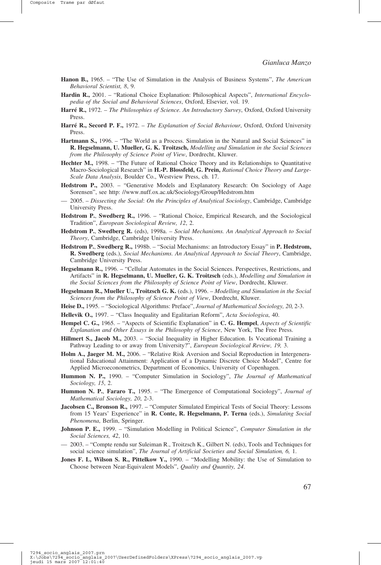- **Hanon B.,** 1965. "The Use of Simulation in the Analysis of Business Systems", *The American Behavioral Scientist, 8*, 9.
- **Hardin R.,** 2001. "Rational Choice Explanation: Philosophical Aspects", *International Encyclopedia of the Social and Behavioral Sciences*, Oxford, Elsevier, vol. 19.
- **Harré R.,** 1972. *The Philosophies of Science. An Introductory Survey*, Oxford, Oxford University Press.
- **Harré R., Secord P. F.,** 1972. *The Explanation of Social Behaviour*, Oxford, Oxford University Press.
- **Hartmann S.,** 1996. "The World as a Process. Simulation in the Natural and Social Sciences" in **R. Hegselmann, U. Mueller, G. K. Troitzsch,** *Modelling and Simulation in the Social Sciences from the Philosophy of Science Point of View*, Dordrecht, Kluwer.
- **Hechter M.,** 1998. "The Future of Rational Choice Theory and its Relationships to Quantitative Macro-Sociological Research" in **H.-P. Blossfeld, G. Prein,** *Rational Choice Theory and Large-Scale Data Analysis*, Boulder Co., Westview Press, ch. 17.
- **Hedstrom P.,** 2003. "Generative Models and Explanatory Research: On Sociology of Aage Sorensen", see http: //www.nuff.ox.ac.uk/Sociology/Group/Hedstrom.htm
- 2005. *Dissecting the Social*: *On the Principles of Analytical Sociology*, Cambridge, Cambridge University Press.
- **Hedstrom P.**, **Swedberg R.,** 1996. "Rational Choice, Empirical Research, and the Sociological Tradition", *European Sociological Review, 12*, 2.
- **Hedstrom P.**, **Swedberg R.** (eds), 1998a. *Social Mechanisms. An Analytical Approach to Social Theory*, Cambridge, Cambridge University Press.
- **Hedstrom P.**, **Swedberg R.,** 1998b. "Social Mechanisms: an Introductory Essay" in **P. Hedstrom, R. Swedberg** (eds.), *Social Mechanisms. An Analytical Approach to Social Theory*, Cambridge, Cambridge University Press.
- **Hegselmann R.,** 1996. "Cellular Automates in the Social Sciences. Perspectives, Restrictions, and Artifacts" in **R. Hegselmann, U. Mueller, G. K. Troitzsch** (eds.), *Modelling and Simulation in the Social Sciences from the Philosophy of Science Point of View*, Dordrecht, Kluwer.
- **Hegselmann R., Mueller U., Troitzsch G. K.** (eds.), 1996. *Modelling and Simulation in the Social Sciences from the Philosophy of Science Point of View*, Dordrecht, Kluwer.
- **Heise D.,** 1995. "Sociological Algorithms: Preface", *Journal of Mathematical Sociology, 20*, 2-3.
- **Hellevik O.,** 1997. "Class Inequality and Egalitarian Reform", *Acta Sociologica*, 40.
- **Hempel C. G.,** 1965. "Aspects of Scientific Explanation" in **C. G. Hempel**, *Aspects of Scientific Explanation and Other Essays in the Philosophy of Science*, New York, The Free Press.
- **Hillmert S., Jacob M.,** 2003. "Social Inequality in Higher Education. Is Vocational Training a Pathway Leading to or away from University?", *European Sociological Review, 19,* 3.
- **Holm A., Jaeger M. M.,** 2006. "Relative Risk Aversion and Social Reproduction in Intergenerational Educational Attainment: Application of a Dynamic Discrete Choice Model", Centre for Applied Microeconometrics, Department of Economics, University of Copenhagen.
- **Hummon N. P.,** 1990. "Computer Simulation in Sociology", *The Journal of Mathematical Sociology, 15*, 2.
- **Hummon N. P.**, **Fararo T.,** 1995. "The Emergence of Computational Sociology", *Journal of Mathematical Sociology, 20*, 2-3.
- **Jacobsen C., Bronson R.,** 1997. "Computer Simulated Empirical Tests of Social Theory: Lessons from 15 Years' Experience" in **R. Conte, R. Hegselmann, P. Terna** (eds.), *Simulating Social Phenomena*, Berlin, Springer.
- **Johnson P. E.,** 1999. "Simulation Modelling in Political Science", *Computer Simulation in the Social Sciences, 42*, 10.
- 2003. "Compte rendu sur Suleiman R., Troitzsch K., Gilbert N. (eds), Tools and Techniques for social science simulation", *The Journal of Artificial Societies and Social Simulation, 6,* 1.
- **Jones F. L, Wilson S. R., Pittelkow Y.,** 1990. "Modelling Mobility: the Use of Simulation to Choose between Near-Equivalent Models", *Quality and Quantity, 24*.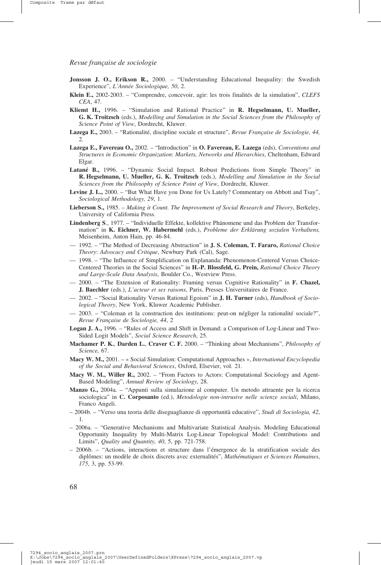- Jonsson J. O., Erikson R., 2000. "Understanding Educational Inequality: the Swedish Experience", *L'Année Sociologique, 50*, 2.
- **Klein E.,** 2002-2003. "Comprendre, concevoir, agir: les trois finalités de la simulation", *CLEFS CEA*, 47.
- **Kliemt H.,** 1996. "Simulation and Rational Practice" in **R. Hegselmann, U. Mueller, G. K. Troitzsch** (eds.), *Modelling and Simulation in the Social Sciences from the Philosophy of Science Point of View*, Dordrecht, Kluwer.
- **Lazega E.,** 2003. "Rationalité, discipline sociale et structure", *Revue Française de Sociologie, 44,* 2.
- **Lazega E., Favereau O.,** 2002. "Introduction" in **O. Favereau, E. Lazega** (eds), *Conventions and Structures in Economic Organization*: *Markets, Networks and Hierarchies*, Cheltenham, Edward Elgar.
- **Latané B.,** 1996. "Dynamic Social Impact. Robust Predictions from Simple Theory" in **R. Hegselmann, U. Mueller, G. K. Troitzsch** (eds.), *Modelling and Simulation in the Social Sciences from the Philosophy of Science Point of View*, Dordrecht, Kluwer.
- **Levine J. L.,** 2000. "But What Have you Done for Us Lately? Commentary on Abbott and Tsay", *Sociological Methodology, 29*, 1.
- **Lieberson S.,** 1985. *Making it Count. The Improvement of Social Research and Theory*, Berkeley, University of California Press.
- **Lindenberg S**., 1977. "Individuelle Effekte, kollektive Phänomene und das Problem der Transformation" in **K. Eichner, W. Habermehl** (eds.), *Probleme der Erklärung sozialen Verhaltens,* Meisenheim, Anton Hain, pp. 46-84.
- 1992. "The Method of Decreasing Abstraction" in **J. S. Coleman, T. Fararo,** *Rational Choice Theory*: *Advocacy and Critique*, Newbury Park (Cal), Sage.
- 1998. "The Influence of Simplification on Explananda: Phenomenon-Centered Versus Choice-Centered Theories in the Social Sciences" in **H.-P. Blossfeld, G. Prein,** *Rational Choice Theory and Large-Scale Data Analysis*, Boulder Co., Westview Press.
- 2000. "The Extension of Rationality: Framing versus Cognitive Rationality" in **F. Chazel, J. Baechler** (eds.), *L'acteur et ses raisons*, Paris, Presses Universitaires de France.
- 2002. "Social Rationality Versus Rational Egoism" in **J. H. Turner** (eds), *Handbook of Sociological Theory*, New York, Kluwer Academic Publisher.
- 2003. "Coleman et la construction des institutions: peut-on négliger la rationalité sociale?", *Revue Française de Sociologie, 44*, 2
- **Logan J. A.,** 1996. "Rules of Access and Shift in Demand: a Comparison of Log-Linear and Two-Sided Logit Models", *Social Science Research*, 25.
- **Machamer P. K.**, **Darden L.**, **Craver C. F.** 2000. "Thinking about Mechanisms", *Philosophy of Science,* 67.
- **Macy W. M.,** 2001. « Social Simulation: Computational Approaches », *International Encyclopedia of the Social and Behavioral Sciences*, Oxford, Elsevier, vol. 21.
- **Macy W. M., Willer R.,** 2002. "From Factors to Actors: Computational Sociology and Agent-Based Modeling", *Annual Review of Sociology*, 28.
- **Manzo G.,** 2004a. "Appunti sulla simulazione al computer. Un metodo attraente per la ricerca sociologica" in **C. Corposanto** (ed.), *Metodologie non-intrusive nelle scienze sociali*, Milano, Franco Angeli.
- 2004b. "Verso una teoria delle diseguaglianze di opportunità educative", *Studi di Sociologia, 42*, 1.
- 2006a. "Generative Mechanisms and Multivariate Statistical Analysis. Modeling Educational Opportunity Inequality by Multi-Matrix Log-Linear Topological Model: Contributions and Limits", *Quality and Quantity, 40*, 5, pp. 721-758.
- 2006b. "Actions, interactions et structure dans l'émergence de la stratification sociale des diplômes: un modèle de choix discrets avec externalités", *Mathématiques et Sciences Humaines*, *175*, 3, pp. 53-99.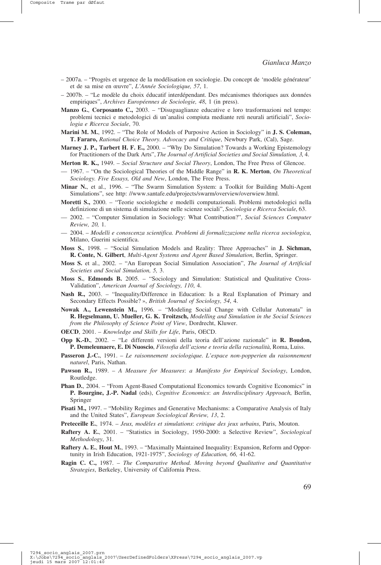- 2007a. "Progrès et urgence de la modélisation en sociologie. Du concept de 'modèle générateur' et de sa mise en œuvre", *L'Année Sociologique, 57*, 1.
- 2007b. "Le modèle du choix éducatif interdépendant. Des mécanismes théoriques aux données empiriques", *Archives Européennes de Sociologie, 48*, 1 (in press).
- **Manzo G.**, **Corposanto C.,** 2003. "Disuguaglianze educative e loro trasformazioni nel tempo: problemi tecnici e metodologici di un'analisi compiuta mediante reti neurali artificiali", *Sociologia e Ricerca Sociale*, 70.
- **Marini M. M.**, 1992. "The Role of Models of Purposive Action in Sociology" in **J. S. Coleman, T. Fararo,** *Rational Choice Theory. Advocacy and Critique*, Newbury Park, (Cal), Sage.
- **Marney J. P., Tarbert H. F. E.,** 2000. "Why Do Simulation? Towards a Working Epistemology for Practitioners of the Dark Arts", *The Journal of Artificial Societies and Social Simulation, 3*, 4.
- **Merton R. K.,** 1949. *Social Structure and Social Theory*, London, The Free Press of Glencoe.
- 1967. "On the Sociological Theories of the Middle Range" in **R. K. Merton**, *On Theoretical Sociology. Five Essays, Old and New*, London, The Free Press.
- **Minar N.**, et al., 1996. "The Swarm Simulation System: a Toolkit for Building Multi-Agent Simulations", see http: //www.santafe.edu/projects/swarm/overview/overwiew.html.
- **Moretti S.,** 2000. "Teorie sociologiche e modelli computazionali. Problemi metodologici nella definizione di un sistema di simulazione nelle scienze sociali", *Sociologia e Ricerca Sociale*, 63.
- 2002. "Computer Simulation in Sociology: What Contribution?", *Social Sciences Computer Review, 20,* 1.
- 2004. *Modelli e conoscenza scientifica. Problemi di formalizzazione nella ricerca sociologica*, Milano, Guerini scientifica.
- **Moss S.**, 1998. "Social Simulation Models and Reality: Three Approaches" in **J. Sichman, R. Conte, N. Gilbert**, *Multi-Agent Systems and Agent Based Simulation*, Berlin, Springer.
- **Moss S.** et al., 2002. "An European Social Simulation Association", *The Journal of Artificial Societies and Social Simulation, 5,* 3.
- **Moss S.**, **Edmonds B.** 2005. "Sociology and Simulation: Statistical and Qualitative Cross-Validation", *American Journal of Sociology, 110*, 4.
- **Nash R.,** 2003. "Inequality/Difference in Education: Is a Real Explanation of Primary and Secondary Effects Possible? », *British Journal of Sociology, 54*, 4.
- **Nowak A., Lewenstein M.,** 1996. "Modeling Social Change with Cellular Automata" in **R. Hegselmann, U. Mueller, G. K. Troitzsch,** *Modelling and Simulation in the Social Sciences from the Philosophy of Science Point of View*, Dordrecht, Kluwer.
- **OECD**, 2001. *Knowledge and Skills for Life*, Paris, OECD.
- **Opp K.-D.**, 2002. "Le differenti versioni della teoria dell'azione razionale" in **R. Boudon, P. Demeleunaere, E. Di Nuoscio**, *Filosofia dell'azione e teoria della razionalità*, Roma, Luiss.
- **Passeron J.-C.**, 1991. *Le raisonnement sociologique. L'espace non-popperien du raisonnement naturel*, Paris, Nathan.
- **Pawson R.,** 1989. *A Measure for Measures*: *a Manifesto for Empirical Sociology*, London, Routledge.
- **Phan D.**, 2004. "From Agent-Based Computational Economics towards Cognitive Economics" in **P. Bourgine, J.-P. Nadal** (eds), *Cognitive Economics*: *an Interdisciplinary Approach*, Berlin, Springer
- **Pisati M.,** 1997. "Mobility Regimes and Generative Mechanisms: a Comparative Analysis of Italy and the United States", *European Sociological Review, 13*, 2.
- **Preteceille E.**, 1974. *Jeux, modèles et simulations*: *critique des jeux urbains*, Paris, Mouton.
- **Raftery A. E.**, 2001. "Statistics in Sociology, 1950-2000: a Selective Review", *Sociological Methodology*, 31.
- **Raftery A. E., Hout M.**, 1993. "Maximally Maintained Inequality: Expansion, Reform and Opportunity in Irish Education, 1921-1975", *Sociology of Education, 66,* 41-62.
- **Ragin C. C.,** 1987. *The Comparative Method. Moving beyond Qualitative and Quantitative Strategies*, Berkeley, University of California Press.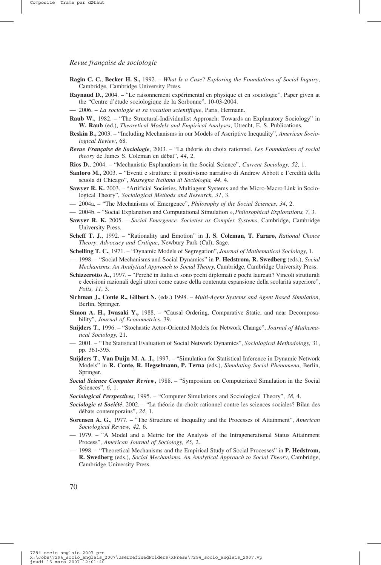- **Ragin C. C.**, **Becker H. S.,** 1992. *What Is a Case*? *Exploring the Foundations of Social Inquiry*, Cambridge, Cambridge University Press.
- **Raynaud D.,** 2004. "Le raisonnement expérimental en physique et en sociologie", Paper given at the "Centre d'étude sociologique de la Sorbonne", 10-03-2004.
- 2006. *La sociologie et sa vocation scientifique*, Paris, Hermann.
- **Raub W.**, 1982. "The Structural-Individualist Approach: Towards an Explanatory Sociology" in **W. Raub** (ed.), *Theoretical Models and Empirical Analyses*, Utrecht, E. S. Publications.
- **Reskin B.,** 2003. "Including Mechanisms in our Models of Ascriptive Inequality", *American Sociological Review*, 68.
- *Revue Française de Sociologie*, 2003. "La théorie du choix rationnel. *Les Foundations of social theory* de James S. Coleman en débat", *44*, 2.
- **Rios D.**, 2004. "Mechanistic Explanations in the Social Science", *Current Sociology, 52*, 1.
- **Santoro M.,** 2003. "Eventi e strutture: il positivismo narrativo di Andrew Abbott e l'eredità della scuola di Chicago", *Rassegna Italiana di Sociologia, 44*, 4.
- **Sawyer R. K.** 2003. "Artificial Societies. Multiagent Systems and the Micro-Macro Link in Sociological Theory", *Sociological Methods and Research, 31*, 3.
- 2004a. "The Mechanisms of Emergence", *Philosophy of the Social Sciences, 34*, 2.
- 2004b. "Social Explanation and Computational Simulation »,*Philosophical Explorations*, *7*, 3.
- **Sawyer R. K.** 2005. *Social Emergence. Societies as Complex Systems*, Cambridge, Cambridge University Press.
- **Scheff T. J.**, 1992. "Rationality and Emotion" in **J. S. Coleman, T. Fararo,** *Rational Choice Theory*: *Advocacy and Critique*, Newbury Park (Cal), Sage.
- **Schelling T. C.**, 1971. "Dynamic Models of Segregation", *Journal of Mathematical Sociology*, 1.
- 1998. "Social Mechanisms and Social Dynamics" in **P. Hedstrom, R. Swedberg** (eds.), *Social Mechanisms. An Analytical Approach to Social Theory*, Cambridge, Cambridge University Press.
- **Schizzerotto A.,** 1997. "Perché in Italia ci sono pochi diplomati e pochi laureati? Vincoli strutturali e decisioni razionali degli attori come cause della contenuta espansione della scolarità superiore", *Polis, 11*, 3.
- **Sichman J., Conte R., Gilbert N.** (eds.) 1998. *Multi-Agent Systems and Agent Based Simulation*, Berlin, Springer.
- **Simon A. H., Iwasaki Y.,** 1988. "Causal Ordering, Comparative Static, and near Decomposability", *Journal of Econometrics*, 39.
- **Snijders T.**, 1996. "Stochastic Actor-Oriented Models for Network Change", *Journal of Mathematical Sociology*, 21.
- 2001. "The Statistical Evaluation of Social Network Dynamics", *Sociological Methodology,* 31, pp. 361-395.
- **Snijders T.**, **Van Duijn M. A. J.,** 1997. "Simulation for Statistical Inference in Dynamic Network Models" in **R. Conte, R. Hegselmann, P. Terna** (eds.), *Simulating Social Phenomena*, Berlin, Springer.
- *Social Science Computer Review***,** 1988. "Symposium on Computerized Simulation in the Social Sciences", *6*, 1.
- *Sociological Perspectives*, 1995. "Computer Simulations and Sociological Theory", *38*, 4.
- *Sociologie et Société*, 2002. "La théorie du choix rationnel contre les sciences sociales? Bilan des débats contemporains", *24*, 1.
- **Sorensen A. G.**, 1977. "The Structure of Inequality and the Processes of Attainment", *American Sociological Review, 42*, 6.
- 1979. "A Model and a Metric for the Analysis of the Intragenerational Status Attainment Process", *American Journal of Sociology, 85*, 2.
- 1998. "Theoretical Mechanisms and the Empirical Study of Social Processes" in **P. Hedstrom, R. Swedberg** (eds.), *Social Mechanisms. An Analytical Approach to Social Theory*, Cambridge, Cambridge University Press.